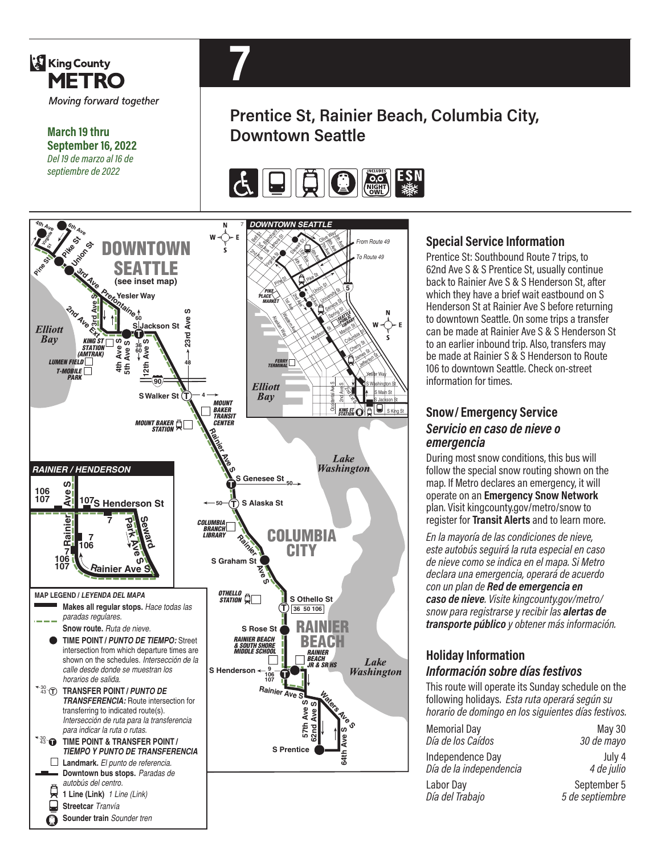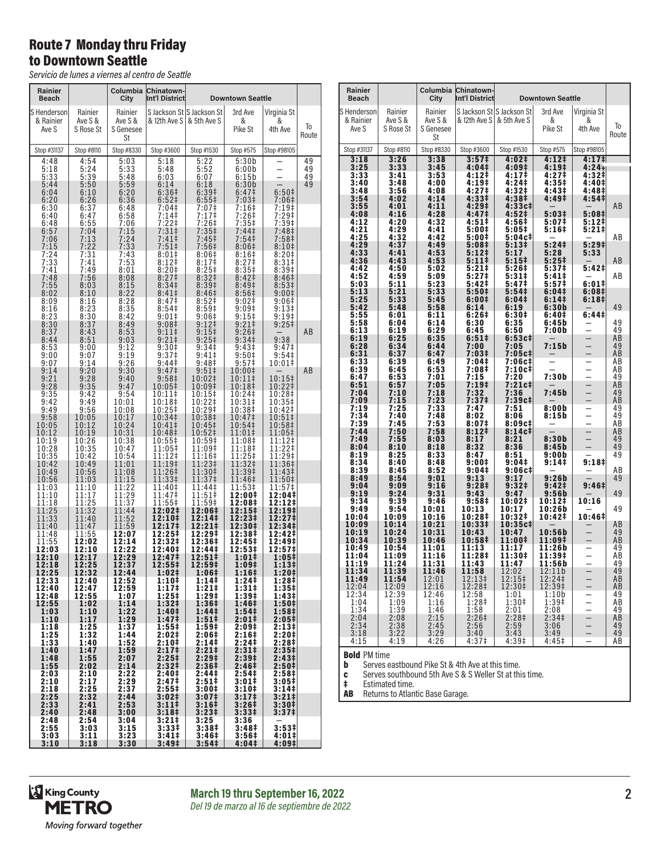# Route 7 Monday thru Friday to Downtown Seattle

*Servicio de lunes a viernes al centro de Seattle*

| Rainier<br><b>Beach</b> |                      | Columbia<br>City     | <b>Chinatown-</b><br>Int'l District |                              | <b>Downtown Seattle</b>    |                                |             |
|-------------------------|----------------------|----------------------|-------------------------------------|------------------------------|----------------------------|--------------------------------|-------------|
| S Henderson             | Rainier              | Rainier              |                                     | S Jackson St S Jackson St    | 3rd Ave                    | Virginia St                    |             |
| & Rainier<br>Ave S      | Ave S &<br>S Rose St | Ave S &<br>S Genesee | & 12th Ave S                        | & 5th Ave S                  | &<br>Pike St               | &<br>4th Ave                   | To<br>Route |
| Stop #31137             | Stop #8110           | St<br>Stop #8330     | Stop #3600                          | Stop #1530                   | Stop #575                  | Stop #98105                    |             |
| 4:48                    | 4:54                 | 5:03                 | 5:18                                | 5:22                         | 5:30b                      |                                | 49          |
| 5:18                    | 5:24<br>5:39         | 5:33<br>5:48         | 5:48<br>6:03                        | 5:52<br>6:07                 | 6:00b                      | $\overline{ }$                 | 49          |
| 5:33<br>5:44            | 5:50                 | 5:59                 | 6:14                                | 6:18                         | 6:15b<br>6:30b             |                                | 49<br>49    |
| 6:04                    | 6:10                 | 6:20                 | 6:36‡                               | 6:39‡                        | 6:47‡                      | 6:50 <sup>‡</sup>              |             |
| 6:20<br>6:30            | 6:26<br>6:37         | 6:36<br>6:48         | 6:52 <sup>‡</sup><br>7:04‡          | $6:55\frac{1}{2}$<br>7:07‡   | $7:03+$<br>7:16‡           | 7:06‡<br>7:19‡                 |             |
| 6:40                    | 6:47                 | 6:58                 | 7:14‡                               | 7:17‡                        | 7:26‡                      | 7:29‡                          |             |
| 6:48<br>6:57            | 6:55<br>7:04         | 7:06<br>7:15         | 7:22‡<br>7:31                       | 7:26‡<br>7:35‡               | 7:35‡<br>7:44 <sup>‡</sup> | $7:39+$<br>7:48‡               |             |
| 7:06                    | 7:13                 | 7:24                 | 7:41                                | 7:45 <sup>‡</sup>            | 7:54‡                      | 7:58 <sup>‡</sup>              |             |
| 7:15<br>7:24            | 7:22<br>7:31         | 7:33<br>7:43         | 7:51‡<br>8:01‡                      | 7:56‡<br>8:06‡               | 8:06#<br>8:16‡             | 8:10 <sup>‡</sup><br>8:20‡     |             |
| 7:33                    | 7:41                 | 7:53                 | 8:12‡                               | 8:17‡                        | 8:27 <sup>‡</sup>          | 8:31 <sup>‡</sup>              |             |
| 7:41<br>7:48            | 7:49<br>7:56         | 8:01<br>8:08         | 8:20‡<br>8:27 <sup>‡</sup>          | 8:25 <sup>‡</sup><br>8:32‡   | 8:35‡<br>8:42 <sup>‡</sup> | 8:39‡<br>8:46 <sup>‡</sup>     |             |
| 7:55                    | 8:03                 | 8:15                 | 8:34 <sup>‡</sup>                   | 8:39‡                        | 8:49‡                      | 8:53 <sup>‡</sup>              |             |
| 8:02                    | 8:10                 | 8:22                 | 8:41‡                               | 8:46‡                        | 8:56‡                      | 9:00‡                          |             |
| 8:09<br>8:16            | 8:16<br>8:23         | 8:28<br>8:35         | 8:47‡<br>8:54‡                      | 8:52‡<br>8:59‡               | 9:02‡<br>9:09‡             | 9:06#<br>9:13‡                 |             |
| 8:23                    | 8:30                 | 8:42                 | 9:01‡                               | 9:06 <sup>‡</sup>            | $9:15^+$                   | 9:19‡                          |             |
| 8:30<br>8:37            | 8:37<br>8:43         | 8:49<br>8:53         | 9:08‡<br>9:11‡                      | $9:12$ ‡<br>9:15‡            | 9:21‡<br>9:26‡             | 9:25‡                          | ΑB          |
| 8:44                    | 8:51                 | 9:03                 | $9:21$ ‡                            | $9:25+$                      | 9:34 <sup>‡</sup>          | 9:38                           |             |
| 8:53<br>9:00            | 9:00<br>9:07         | 9:12<br>9:19         | 9:30‡<br>9:37‡                      | 9:34‡<br>$9:41 \dagger$      | 9:43‡<br>9:50‡             | 9:47 <sup>‡</sup><br>9:54‡     |             |
| 9:07                    | 9:14                 | 9:26                 | 9:44‡                               | 9:48 <sup>‡</sup>            | 9:57‡                      | 10:01‡                         |             |
| 9:14                    | 9:20                 | 9:30<br>9:40         | 9:47 <sup>‡</sup>                   | 9:51‡                        | 10:00‡                     |                                | AВ          |
| 9:21<br>9:28            | 9:28<br>9:35         | 9:47                 | 9:58‡<br>10:05‡                     | 10:02‡<br>10:09‡             | 10:11‡<br>10:18‡           | 10:15‡<br>10:22‡               |             |
| 9:35                    | 9:42                 | 9:54                 | 10:11‡                              | 10:15‡                       | 10:24‡                     | 10:28‡                         |             |
| 9:42<br>9:49            | 9:49<br>9:56         | 10:01<br>10:08       | 10:18‡<br>10:25‡                    | 10:22‡<br>10:29‡             | 10:31‡<br>10:38‡           | 10:35‡<br>10:42‡               |             |
| 9:58                    | 10:05                | 10:17                | 10:34‡                              | 10:38‡                       | 10:47‡                     | 10:51‡                         |             |
| 10:05<br>10:12          | 10:12<br>10:19       | 10:24<br>10:31       | 10:41‡<br>10:48‡                    | 10:45‡<br>10:52‡             | 10:54‡<br>11:01‡           | 10:58‡<br>11:05‡               |             |
| 10:19                   | 10:26                | 10:38                | 10:55‡                              | 10:59‡                       | 11:08‡                     | 11:12‡                         |             |
| 10:28<br>10:35          | 10:35<br>10:42       | 10:47<br>10:54       | 11:05‡<br>11:12‡                    | 11:09‡<br>11:16‡             | 11:18‡<br>11:25‡           | 11:22‡<br>11:29‡               |             |
| 10:42                   | 10:49                | 11:01                | 11:19‡                              | 11:23‡                       | 11:32‡                     | 11:36‡                         |             |
| 10:49<br>10:56          | 10:56<br>11:03       | 11:08<br>11:15       | 11:26‡<br>11:33‡                    | 11:30‡<br>11:37‡             | 11:39‡<br>11:46‡           | 11:43‡<br>11:50‡               |             |
| 11:03                   | 11:10                | 11:22                | 11:40‡                              | 11:44‡                       | 11:53‡                     | 11:57‡                         |             |
| 11:10<br>11:18          | 11:17<br>11:25       | 11:29<br>11:37       | 11:47‡<br>11:55‡                    | 11:51‡<br>11:59‡             | 12:00‡<br>12:08‡           | 12:04‡<br>12:12‡               |             |
| 11:25                   | 11:32                | 11:44                | 12:02‡                              | 12:06‡                       | 12:15‡                     | 12:19‡                         |             |
| 11:33                   | 11:40                | 11:52                | 12:10‡                              | 12:14‡                       | 12:23‡                     | 12:27‡                         |             |
| 11:40<br>11:48          | 11:47<br>11:55       | 11:59<br>12:07       | 12:17‡<br>12:25‡                    | 12:21‡<br>12:29‡             | 12:30‡<br>12:38‡           | 12:34‡<br>12:42‡               |             |
| 11:55                   | 12:02                | 12:14                | 12:32‡                              | 12:36‡                       | 12:45‡                     | 12:49‡                         |             |
| 12:03<br>12:10          | 12:10<br>12:17       | 12:22<br>12:29       | 12:40‡<br>12:47‡                    | 12:44‡<br>12:51‡             | 12:53‡<br>$1:01\ddagger$   | 12:57‡<br>1:05‡                |             |
| 12:18                   | 12:25                | 12:37                | 12:55‡                              | 12:59‡                       | 1:09‡                      | 1:13‡                          |             |
| 12:25<br>12:33          | 12:32<br>12:40       | 12:44<br>12:52       | 1:02‡<br>1:10‡                      | 1:06‡<br>1:14‡               | 1:16‡<br>1:24‡             | 1:20‡<br>1:28‡                 |             |
| 12:40                   | 12:47                | 12:59                | 1:17‡                               | 1:21‡                        | 1:31‡                      | 1:35#                          |             |
| 12:48<br>12:55          | 12:55<br>1:02        | 1:07<br>1:14         | 1:25‡<br>1:32 <sup>†</sup>          | 1:29‡<br>1:36‡               | 1:39‡<br>1:46‡             | 1:43‡<br>1:50‡                 |             |
| 1:03                    | 1:10                 | 1:22                 | 1:40‡                               | 1:44 <sup>‡</sup>            | 1:54‡                      | 1:581                          |             |
| 1:10<br>1:18            | 1:17<br>1:25         | 1:29<br>1:37         | 1:47 <sup>‡</sup><br>1:55‡          | $1:51\ddagger$<br>1:59‡      | 2:01‡<br>2:09‡             | 2:05#<br>2:13‡                 |             |
| 1:25                    | 1:32                 | 1:44                 | 2:02‡                               | 2:06‡                        | 2:16‡                      | 2:20‡                          |             |
| 1:33<br>1:40            | 1:40<br>1:47         | 1:52<br>1:59         | 2:10‡<br>2:17‡                      | 2:14‡<br>2:21‡               | 2:24‡<br>$2:31\pm$         | 2:28‡<br>$2:35+$               |             |
| 1:48                    | 1:55                 | 2:07                 | 2:25 <sup>‡</sup>                   | 2:29‡                        | 2:39‡                      | 2:43 <sup>‡</sup>              |             |
| 1:55                    | 2:02                 | 2:14                 | 2:32‡                               | 2:36‡                        | 2:46‡                      | $2:50$ #                       |             |
| 2:03<br>2:10            | 2:10<br>2:17         | 2:22<br>2:29         | 2:40‡<br>2:47 <sup>‡</sup>          | 2:44‡<br>$2:51 \;$           | 2:54‡<br>3:01‡             | 2:58‡<br>3:05#                 |             |
| 2:18                    | 2:25                 | 2:37                 | 2:55‡                               | 3:00‡                        | 3:10‡                      | 3:14 <sup>‡</sup>              |             |
| 2:25<br>2:33            | 2:32<br>2:41         | 2:44<br>2:53         | 3:02 <sup>‡</sup><br>$3:11 \dagger$ | 3:07 <sup>‡</sup><br>$3:16+$ | 3:17 <sup>‡</sup><br>3:26‡ | $3:21 \;$<br>3:30 <sup>‡</sup> |             |
| 2:40                    | 2:48                 | 3:00                 | 3:18 <sup>‡</sup>                   | $3:23+$                      | 3:33#                      | 3:37‡                          |             |
| 2:48<br>2:55            | 2:54<br>3:03         | 3:04<br>3:15         | 3:21‡<br>3:33‡                      | 3:25<br>3:38‡                | 3:36<br>3:48‡              | $3:53*$                        |             |
| 3:03                    | 3:11                 | 3:23                 | 3:41‡                               | 3:46‡                        | 3:56‡                      | 4:01‡                          |             |
| 3:10                    | 3:18                 | 3:30                 | 3:49 <sup>‡</sup>                   | 3:54 <sup>‡</sup>            | 4:04‡                      | 4:09‡                          |             |

| <b>Rainier</b><br>Beach    |                           | Columbia<br>City   | <b>Chinatown-</b><br>Int'l District              |                            | <b>Downtown Seattle</b>    |                                                      |                |
|----------------------------|---------------------------|--------------------|--------------------------------------------------|----------------------------|----------------------------|------------------------------------------------------|----------------|
| lS Hendersonl<br>& Rainier | Rainier<br>Ave S &        | Rainier<br>Ave S & | & 12th Ave S & 5th Ave S                         | S Jackson St S Jackson St  | 3rd Ave<br>&               | Virginia St<br>&                                     |                |
| Ave S                      | S Rose St                 | S Genesee<br>St    |                                                  |                            | Pike St                    | 4th Ave                                              | To<br>Route    |
| Stop #31137                | Stop #8110                | Stop #8330         | Stop #3600                                       | Stop #1530                 | Stop #575                  | Stop #98105                                          |                |
| 3:18<br>3:25               | 3:26<br>3:33              | 3:38<br>3:45       | 3:57 <sup>‡</sup><br>4:04‡                       | 4:02‡<br>4:09‡             | 4:12‡<br>4:19‡             | 4:17#<br>$4:24+$                                     |                |
| 3:33<br>3:40               | 3:41<br>3:48              | 3:53<br>4:00       | 4:12 <sup>‡</sup><br>4:19‡                       | 4:17‡<br>4:24‡             | 4:27 <sup>‡</sup><br>4:35‡ | 4:32‡<br>4:40‡                                       |                |
| 3:48<br>3:54               | 3:56<br>4:02              | 4:08<br>4:14       | 4:27‡<br>4:33 <sup>‡</sup>                       | 4:32‡<br>4:38‡             | 4:43‡<br>4:49‡             | 4:48‡<br>4:54‡                                       |                |
| 3:55<br>4:08               | 4:01<br>4:16              | 4:11<br>4:28       | 4:29‡<br>4:47‡                                   | 4:33c‡<br>4:52‡            | 5:03#                      | 5:08 <sup>‡</sup>                                    | AB             |
| 4:12<br>4:21               | 4:20<br>4:29              | 4:32<br>4:41       | 4:51‡<br>5:00‡                                   | 4:56‡<br>5:05‡             | 5:07‡<br>5:16‡             | 5:12‡<br>5:211                                       |                |
| 4:25                       | 4:32                      | 4:42               | 5:00‡                                            | 5:04c‡                     |                            |                                                      | ΑB             |
| 4:29<br>4:33               | 4:37<br>4:41              | 4:49<br>4:53       | 5:08‡<br>5:12‡                                   | 5:13‡<br>5:17              | 5:24<br>5:28               | 5:29‡<br>5:33                                        |                |
| 4:36<br>4:42               | 4:43<br>4:50              | 4:53<br>5:02       | 5:11<br>5:21‡                                    | 5:15<br>5:26‡              | $5:25+$<br>5:37‡           | 5:42‡                                                | AB             |
| 4:52                       | 4:59<br>5:11              | 5:09               | 5:27‡<br>5:42‡                                   | 5:31‡                      | 5:41‡<br>5:57‡             | 6:01‡                                                | AB             |
| 5:03<br>5:13               | 5:21                      | 5:23<br>5:33       | 5:50‡                                            | 5:47‡<br>5:54 <sup>‡</sup> | 6:04‡                      | 6:08‡                                                |                |
| 5:25<br>5:42               | 5:33<br>5:48              | 5:45<br>5:58       | 6:00‡<br>6:14                                    | 6:04‡<br>6:19              | 6:141<br>6:30b             | 6:18‡                                                | 49             |
| 5:55<br>5:58               | 6:01<br>6:04              | 6:11<br>6:14       | 6:26#<br>6:30                                    | 6:30‡<br>6:35              | 6:40‡<br>6:45b             | 6:44‡                                                | 49             |
| 6:13<br>6:19               | 6:19<br>6:25              | 6:29<br>6:35       | 6:45<br>$6:51\ddagger$                           | 6:50<br>6:53c‡             | 7:00b                      |                                                      | 49<br>AB       |
| 6:28                       | 6:34                      | 6:44               | 7:00                                             | 7:05                       | 7:15b                      |                                                      | 49             |
| 6:31<br>6:33               | 6:37<br>6:39              | 6:47<br>6:49       | 7:03‡<br>7:04‡                                   | 7:05c‡<br>7:06c‡           |                            | $\overline{\phantom{0}}$                             | AB<br>ΑB       |
| 6:39<br>6:47               | 6:45<br>6:53              | 6:53<br>7:01       | 7:08‡<br>7:15                                    | 7:10c‡<br>7:20             | 7:30b                      |                                                      | AB<br>49       |
| 6:51<br>7:04               | 6:57<br>7:10              | 7:05<br>7:18       | 7:19‡<br>7:32                                    | 7:21c‡<br>7:36             | 7:45b                      | $\overline{\phantom{0}}$                             | AB<br>49       |
| 7:09                       | 7:15                      | 7:23               | 7:37‡                                            | 7:39c‡                     |                            | $\overline{\phantom{0}}$<br>$\overline{\phantom{0}}$ | AB             |
| 7:19<br>7:34               | 7:25<br>7:40              | 7:33<br>7:48       | 7:47<br>8:02                                     | 7:51<br>8:06               | 8:00b<br>8:15b             |                                                      | 49<br>49       |
| 7:39<br>7:44               | 7:45<br>7:50              | 7:53<br>7:58       | 8:07#<br>8:12‡                                   | 8:09c‡<br>8:14c‡           |                            |                                                      | ΑB<br>AB       |
| 7:49<br>8:04               | 7:55<br>8:10              | 8:03<br>8:18       | 8:17<br>8:32                                     | 8:21<br>8:36               | 8:30b<br>8:45b             |                                                      | 49<br>49       |
| 8:19                       | 8:25                      | 8:33               | 8:47                                             | 8:51                       | 9:00b                      |                                                      | 49             |
| 8:34<br>8:39               | 8:40<br>8:45              | 8:48<br>8:52       | 9:001<br>9:04#                                   | 9:04‡<br>9:06c‡            | 9:14‡                      | 9:18‡                                                | ΑB             |
| 8:49<br>9:04               | 8:54<br>9:09              | 9:01<br>9:16       | 9:13<br>9:28‡                                    | 9:17<br>9:32‡              | 9:26b<br>9:42 <sup>‡</sup> | 9:46‡                                                | 49             |
| 9:19<br>9:34               | 9:24<br>9:39              | 9:31<br>9:46       | 9:43<br>9:58‡                                    | 9:47<br>10:02‡             | 9:56b<br>10:12‡            | 10:16                                                | 49             |
| 9:49                       | 9:54                      | 10:01              | 10:13                                            | 10:17                      | 10:26b                     |                                                      | 49             |
| 10:04<br>10:09             | 10:09<br>10:14            | 10:16<br>10:21     | 10:28‡<br>10:33‡                                 | 10:32‡<br>10:35c‡          | 10:42‡                     | 10:46‡                                               | AВ             |
| 10:19<br>10:34             | 10:24<br>10:39            | 10:31<br>10:46     | 10:43<br>10:58‡                                  | 10:47<br>11:00‡            | 10:56b<br>11:09‡           |                                                      | 49<br>AB       |
| 10:49<br>11:04             | 10:54<br>11:09            | 11:01<br>11:16     | 11:13<br>11:28‡                                  | 11:17<br>11:30‡            | 11:26b<br>11:39‡           | $\overline{\phantom{0}}$                             | 49<br>ΑB       |
| 11:19                      | 11:24                     | 11:31              | 11:43                                            | 11:47                      | 11:56b                     |                                                      | 49             |
| 11:34<br>11:49             | 11:39<br>11:54            | 11:46<br>12:01     | 11:58<br>12:13‡                                  | 12:02<br>12:15‡            | 12:11b<br>12:24‡           |                                                      | 49<br>AB       |
| 12:04<br>12:34             | 12:09<br>12:39            | 12:16<br>12:46     | 12:28‡                                           | 12:30‡<br>1:01             | 12:39‡<br>1:10b            |                                                      | AB             |
| 1:04<br>1:34               | $\overline{1:09}$<br>1:39 | 1:16<br>1:46       | $12:58$<br>$1:28$ ‡<br>1:58                      | 1:30‡<br>2:01              | 1:39‡<br>2:08              |                                                      | 49<br>AB<br>49 |
| 2:04                       | 2:08                      | 2:15               | 2:26 <sup>‡</sup>                                | 2:28 <sup>‡</sup>          | 2:34 <sup>‡</sup>          | $\overline{\phantom{0}}$                             | AB             |
| 2:34<br>3:18               | 2:38<br>3:22              | 2:45<br>3:29       | 2:56<br>3:40                                     | 2:59<br>3:43               | 3:06<br>3:49               | $\equiv$                                             | 49<br>49       |
| 4:15                       | 4:19                      | 4:26               | 4:37 <sup>‡</sup>                                | 4:39‡                      | 4:45‡                      |                                                      | AB             |
| <b>Bold PM time</b><br>b   |                           |                    | Serves eastbound Pike St & 4th Ave at this time. |                            |                            |                                                      |                |

**c** Serves southbound 5th Ave S & S Weller St at this time.<br> $\ddagger$  Estimated time.

Estimated time.

**AB** Returns to Atlantic Base Garage.



**March 19 thru September 16, 2022 2** *Del 19 de marzo al 16 de septiembre de 2022*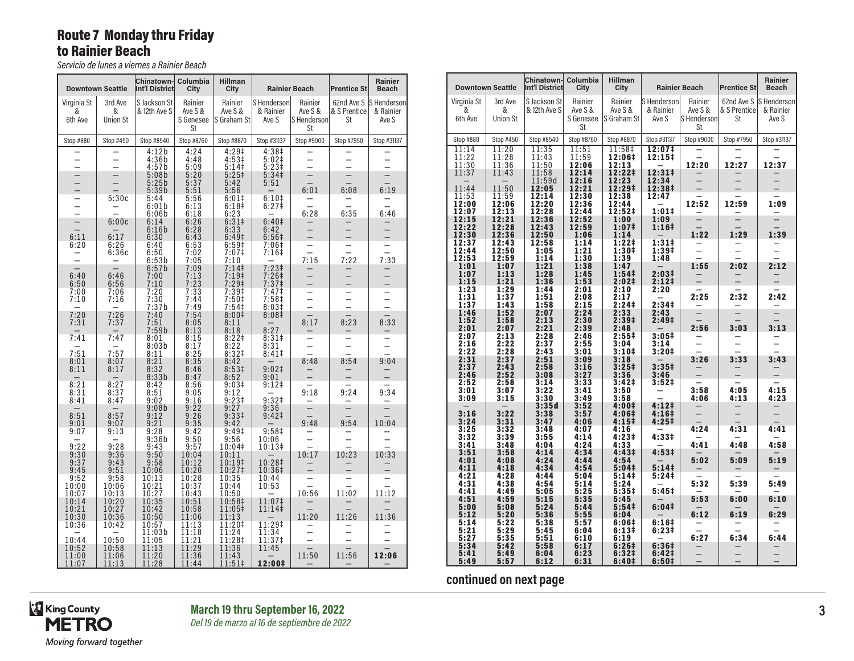# Route 7 Monday thru Friday to Rainier Beach

*Servicio de lunes a viernes a Rainier Beach*

|                             | <b>Downtown Seattle</b>         | Chinatown-<br>Int'l District                  | Columbia<br>City                | <b>Hillman</b><br>City            |                                        | <b>Rainier Beach</b>              | <b>Prentice St</b>                      | <b>Rainier</b><br><b>Beach</b>    |
|-----------------------------|---------------------------------|-----------------------------------------------|---------------------------------|-----------------------------------|----------------------------------------|-----------------------------------|-----------------------------------------|-----------------------------------|
| Virginia St<br>&<br>6th Ave | 3rd Ave<br>&<br><b>Union St</b> | S Jackson St<br>& 12th Ave S                  | Rainier<br>Ave S &<br>S Genesee | Rainier<br>Ave S &<br>S Graham St | lS Hendersonl<br>& Rainier<br>Ave S    | Rainier<br>Ave S &<br>S Henderson | 62nd Ave S<br>& S Prentice<br><b>St</b> | S Henderson<br>& Rainier<br>Ave S |
|                             |                                 |                                               | St                              |                                   |                                        | St                                |                                         |                                   |
| Stop #880                   | Stop #450                       | Stop #8540                                    | Stop #8760                      | Stop #8870                        | Stop #31137                            | Stop #9000                        | Stop #7950                              | Stop #31137                       |
|                             |                                 | 4:12b<br>4:36b                                | 4:24<br>4:48                    | 4:29‡<br>4:53‡                    | 4:38‡<br>$5:02$ ‡                      |                                   |                                         |                                   |
|                             |                                 | 4:57b<br>5:08b                                | 5:09<br>5:20                    | 5:14‡<br>5:25‡                    | 5:23‡<br>5:34 <sup>‡</sup>             |                                   |                                         |                                   |
|                             |                                 | 5:25b                                         | 5:37                            | 5:42                              | 5:51                                   |                                   |                                         |                                   |
|                             |                                 | 5:39b                                         | 5:51                            | 5:56                              |                                        | 6:01                              | 6:08                                    | 6:19                              |
|                             | 5:30c                           | 5:44<br>6:01b                                 | 5:56<br>6:13                    | $6:01$ ‡<br>6:18 <sup>‡</sup>     | 6:10 <sup>‡</sup><br>6:27 <sup>‡</sup> |                                   |                                         |                                   |
|                             |                                 | 6:06b                                         | 6:18                            | 6:23                              |                                        | 6:28                              | 6:35                                    | 6:46                              |
|                             | 6:00c                           | 6:14                                          | 6:26                            | 6:31 <sup>‡</sup>                 | 6:40 <sup>‡</sup>                      |                                   |                                         |                                   |
| 6:11                        | 6:17                            | 6:16b<br>6:30                                 | 6:28<br>6:43                    | 6:33<br>6:49 <sup>‡</sup>         | 6:42<br>6:56 <sup>‡</sup>              |                                   |                                         |                                   |
| 6:20                        | 6:26                            | 6:40                                          | 6:53                            | 6:59‡                             | 7:06‡                                  |                                   |                                         |                                   |
|                             | 6:36c                           | 6:50                                          | 7:02                            | 7:07‡                             | 7:16‡                                  | $\overline{\phantom{0}}$<br>7:15  | 7:22                                    | 7:33                              |
|                             |                                 | 6:53b<br>6:57b                                | 7:05<br>7:09                    | 7:10<br>7:14                      | $7:23+$                                |                                   |                                         |                                   |
| 6:40                        | 6:46                            | 7:00                                          | 7:13                            | 7:19‡                             | 7:26‡                                  |                                   |                                         |                                   |
| 6:50<br>7:00                | 6:56<br>7:06                    | 7:10<br>7:20                                  | 7:23<br>7:33                    | $7:29+$<br>7:39‡                  | 7:37 <sup>‡</sup><br>7:47‡             |                                   |                                         |                                   |
| 7:10                        | 7:16                            | 7:30                                          | 7:44                            | 7:50‡                             | 7:58‡                                  |                                   |                                         |                                   |
|                             |                                 | 7:37b                                         | 7:49                            | 7:54                              | 8:03#                                  |                                   |                                         |                                   |
| 7:20<br>7:31                | 7:26<br>7:37                    | 7:40<br>7:51                                  | 7:54<br>8:05                    | 8:00 <sup>‡</sup><br>8:11         | 8:08‡                                  | 8:17                              | 8:23                                    | 8:33                              |
|                             |                                 | 7:59b                                         | 8:13                            | 8:18                              | 8:27                                   |                                   |                                         |                                   |
| 7:41                        | 7:47                            | 8:01                                          | 8:15                            | $8:22$ ‡                          | 8:31#                                  |                                   |                                         |                                   |
| 7:51                        | 7:57                            | 8:03b<br>8:11                                 | 8:17<br>8:25                    | 8:22<br>8:32 <sup>‡</sup>         | 8:31<br>8:41                           |                                   |                                         |                                   |
| 8:01                        | 8:07                            | 8:21                                          | 8:35                            | 8:42                              |                                        | 8:48                              | 8:54                                    | 9:04                              |
| 8:11                        | 8:17                            | 8:32<br>8:33b                                 | 8:46<br>8:47                    | 8:53 <sup>‡</sup><br>8:52         | $9:02 \ddagger$<br>9:01                |                                   |                                         |                                   |
| 8:21                        | 8:27                            | 8:42                                          | 8:56                            | 9:03 <sup>‡</sup>                 | $9:12$ ‡                               |                                   |                                         |                                   |
| 8:31                        | 8:37                            | 8:51                                          | 9:05                            | 9:12                              |                                        | 9:18                              | 9:24                                    | 9:34                              |
| 8:41                        | 8:47                            | 9:02<br>9:08b                                 | 9:16<br>9:22                    | $9:23+$<br>9:27                   | 9:32 <sup>‡</sup><br>9:36              |                                   |                                         |                                   |
| 8:51                        | 8:57                            | 9:12                                          | 9:26                            | 9:33 <sup>‡</sup>                 | 9:42 <sup>‡</sup>                      |                                   |                                         |                                   |
| 9:01<br>9:07                | 9:07<br>9:13                    | 9:21<br>9:28                                  | 9:35<br>9:42                    | 9:42<br>9:49 <sup>‡</sup>         | 9:58 <sup>‡</sup>                      | 9:48                              | 9:54                                    | 10:04                             |
|                             |                                 | 9:36b                                         | 9:50                            | 9:56                              | 10:06                                  |                                   |                                         |                                   |
| 9:22<br>9:30                | 9:28<br>9:36                    | 9:43<br>9:50                                  | 9:57<br>10:04                   | 10:04‡<br>10:11                   | 10:13‡                                 | 10:17                             | 10:23                                   | 10:33                             |
| 9:37                        | 9:43                            | 9:58                                          | 10:12                           | 10:19‡                            | 10:28‡                                 |                                   |                                         |                                   |
| 9:45                        | 9:51                            | 10:06                                         | 10:20                           | 10:27‡                            | 10:36‡                                 |                                   |                                         |                                   |
| 9:52<br>10:00               | 9:58<br>10:06                   | 10:13<br>10:21                                | 10:28<br>10:37                  | 10:35<br>10:44                    | 10:44<br>10:53                         |                                   |                                         |                                   |
| 10:07                       | 10:13                           | 10:27                                         | 10:43                           | 10:50                             |                                        | 10:56                             | 11:02                                   | 11:12                             |
| 10:14<br>10:21              | 10:20<br>10:27                  | 10:35<br>10:42                                | 10:51<br>10:58                  | 10:58‡<br>11:05‡                  | 11:07‡<br>11:14‡                       |                                   |                                         |                                   |
| 10:30                       | 10:36                           | 10:50                                         | 11:06                           | 11:13                             |                                        | 11:20                             | 11:26                                   | 11:36                             |
| 10:36                       | 10:42                           | 10:57                                         | 11:13                           | 11:20‡                            | 11:29‡                                 |                                   |                                         |                                   |
| 10:44                       | 10:50                           | 11:03b<br>11:05                               | 11:18<br>11:21                  | 11:24<br>11:28‡                   | 11:34<br>11:37‡                        |                                   |                                         |                                   |
| 10:52                       | 10:58                           | $\begin{array}{c} 11:13 \\ 11:20 \end{array}$ | 11:29                           | 11:36                             | 11:45                                  |                                   |                                         |                                   |
| 11:00<br>11:07              | 11:06<br>11:13                  | 11:28                                         | 11:36<br>11:44                  | 11:43<br>11:51‡                   | 12:00‡                                 | 11:50                             | 11:56                                   | 12:06                             |

| 3rd Ave<br>S Jackson St<br>Rainier<br>Rainier<br>S Henderson<br>Rainier<br>Virginia St                                                                                                              | 62nd Ave S  S Henderson |
|-----------------------------------------------------------------------------------------------------------------------------------------------------------------------------------------------------|-------------------------|
| &<br>& 12th Ave S<br>Ave S &<br>Ave S &<br>& Rainier<br>Ave S &<br>& S Prentice<br>&<br>S Graham St<br>S Henderson<br>6th Ave<br><b>Union St</b><br>S Genesee<br>Ave S<br>St                        | & Rainier<br>Ave S      |
| St<br>St                                                                                                                                                                                            |                         |
| Stop #9000<br>Stop #7950<br>Stop #880<br>Stop #450<br>Stop #8540<br>Stop #8760<br>Stop #8870<br>Stop #31137                                                                                         | Stop #31137             |
| 11:14<br>11:20<br>11:35<br>11:51<br>11:58‡<br>12:07 <sup>‡</sup><br>$\equiv$<br>11:22<br>11:28<br>11:43<br>11:59<br>12:15‡<br>12:06‡<br>12:20<br>12:27<br>11:30<br>11:36<br>11:50<br>12:06<br>12:13 | 12:37                   |
| 12:31‡<br>12:22‡<br>11:37<br>11:43<br>11:58<br>12:14<br>11:59d<br>12:16<br>12:23<br>12:34<br>12:05<br>12:21<br>12:29‡<br>12:38‡<br>11:44<br>11:50                                                   |                         |
| 11:53<br>11:59<br>12:14<br>12:30<br>12:38<br>12:47<br>12:52<br>12:59<br>12:00<br>12:06<br>12:20<br>12:36<br>12:44                                                                                   | 1:09                    |
| 1:01#<br>12:28<br>12:44<br>12:52‡<br>12:07<br>12:13<br>12:15<br>12:21<br>12:36<br>12:52<br>1:09<br>1:00<br>12:22<br>12:28<br>12:43<br>12:59<br>1:07 <sup>‡</sup><br>$1:16+$                         |                         |
| 12:36<br>12:50<br>1:22<br>12:30<br>1:29<br>1:06<br>1:14<br>12:37<br>1:221<br>$1:31+$<br>12:43<br>12:58<br>1:14<br>-                                                                                 | 1:39                    |
| 12:44<br>12:50<br>1:21<br>1:30‡<br>1:39‡<br>$\overline{\phantom{0}}$<br>1:05<br>12:53<br>1:39<br>12:59<br>1:14<br>1:30<br>1:48                                                                      |                         |
| 2:02<br>1:21<br>1:55<br>1:01<br>1:07<br>1:38<br>1:47<br>1:07<br>1:13<br>1:28<br>1:54 <sup>‡</sup><br>2:03#<br>1:45<br>$2:12+$<br>1:21<br>1:36<br>1:53<br>2:02‡<br>1:15                              | 2:12                    |
| 1:29<br>1:23<br>2:20<br>1:44<br>2:01<br>2:10<br>2:25<br>2:32<br>1:31<br>1:37<br>1:51<br>2:17<br>2:08                                                                                                | 2:42                    |
| 2:15<br>2:34 <sup>‡</sup><br>1:37<br>2:24‡<br>1:43<br>1:58<br>1:52<br>2:33<br>1:46<br>2:24<br>2:43<br>2:07<br>1:52<br>1:58<br>2:13<br>2:30<br>2:39 <sup>‡</sup><br>2:49 <sup>‡</sup>                |                         |
| 2:39<br>2:01<br>2:07<br>2:21<br>2:48<br>2:56<br>3:03<br>$\overline{\phantom{0}}$<br>3:05#<br>2:07<br>2:13<br>2:28<br>2:46<br>2:55‡                                                                  | 3:13                    |
| 2:22<br>2:16<br>2:37<br>2:55<br>3:04<br>3:14<br>$\frac{1}{2}$<br>2:22<br>2:28<br>2:43<br>3:20#<br>3:01<br>3:10‡                                                                                     |                         |
| 2:31<br>2:51<br>3:26<br>3:33<br>2:37<br>3:09<br>3:18<br>$3:35+$<br>2:37<br>2:43<br>2:58<br>3:16<br>$3:25+$<br>2:52<br>2:46<br>3:08<br>3:27<br>3:36<br>3:46<br>$\equiv$                              | 3:43<br>$\equiv$        |
| 3:33<br>3:42‡<br>3:52‡<br>2:52<br>2:58<br>3:14<br>3:58<br>4:05<br>3:01<br>3:07<br>3:22<br>3:41<br>3:50<br>4:13<br>3:09<br>3:15<br>3:30<br>3:49<br>3:58<br>4:06                                      | 4:15<br>4:23            |
| 4:12 <sup>†</sup><br>3:35d<br>3:52<br>4:00‡<br>3:22<br>3:38<br>3:57<br>$4:16+$<br>3:16<br>4:06‡<br>3:24<br>3:31<br>3:47<br>4:06<br>$4:15+$<br>4:25‡                                                 |                         |
| 4:24<br>4:31<br>3:25<br>3:32<br>3:48<br>4:07<br>4:16<br>$4:23+$<br>4:33‡<br>3:32<br>3:39<br>3:55<br>4:14<br>$\equiv$                                                                                | 4:41                    |
| 4:41<br>4:48<br>3:41<br>3:48<br>4:04<br>4:24<br>4:33<br>4:53#<br>3:51<br>3:58<br>4:14<br>4:34<br>4:43‡<br>4:24<br>5:09<br>4:01<br>4:08<br>4:44<br>4:54<br>5:02                                      | 4:58<br>5:19            |
| 5:141<br>4:11<br>4:18<br>4:34<br>4:54<br>5:04#<br>$-$<br>4:21<br>4:28<br>4:44<br>5:141<br>5:24‡<br>5:04                                                                                             |                         |
| 5:32<br>4:31<br>4:38<br>4:54<br>5:14<br>5:24<br>5:39<br>5:45 <sup>‡</sup><br>4:41<br>4:49<br>5:25<br>5:35‡<br>5:05<br>5:53<br>6:00<br>4:51<br>4:59<br>5:35<br>5:15<br>5:45                          | 5:49<br>6:10            |
| 5:24<br>6:04#<br>5:00<br>5:08<br>5:44<br>5:54 <sup>‡</sup><br>6:12<br>6:19<br>5:12<br>5:20<br>5:36<br>5:55<br>6:04                                                                                  | 6:29                    |
| 5:22<br>5:14<br>5:38<br>5:57<br>6:06#<br>6:16‡<br>5:29<br>5:21<br>6:13#<br>6:23‡<br>5:45<br>6:04<br>5:27<br>5:35<br>6:27<br>6:34<br>5:51<br>6:10<br>6:19                                            | 6:44                    |
| 5:34<br>6:26#<br>6:36#<br>5:42<br>5:58<br>6:17<br>5:41<br>5:49<br>6:23<br>6:32‡<br>6:42‡<br>6:04<br>6:12<br>6:31<br>6:40‡<br>6:50 <sup>‡</sup><br>5:49<br>5:57                                      |                         |

**continued on next page**

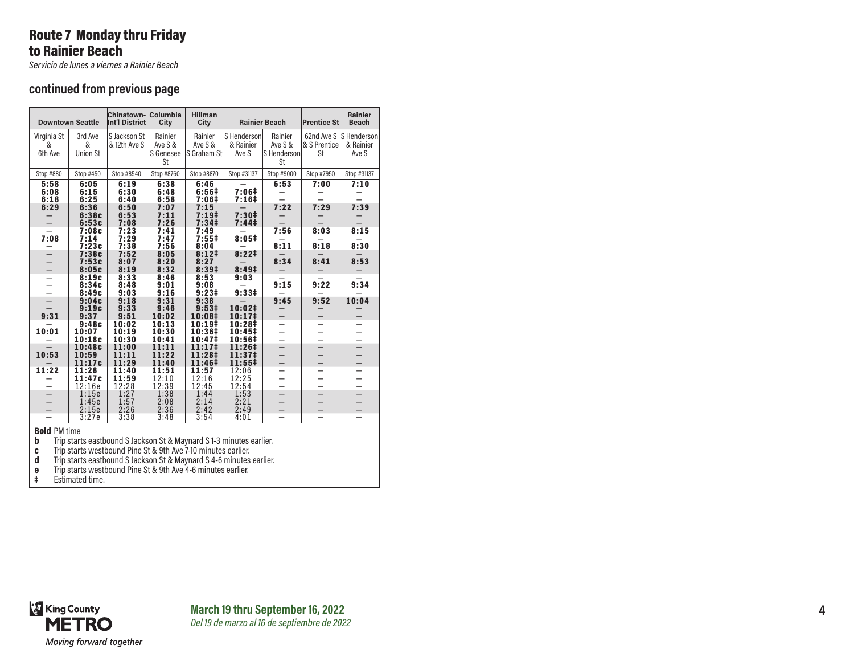# Route 7 Monday thru Friday to Rainier Beach

*Servicio de lunes a viernes a Rainier Beach*

#### **continued from previous page**

|                             | <b>Downtown Seattle</b>         | <b>Chinatown-</b><br>Int'l District | Columbia<br>City                      | <b>Hillman</b><br>City                |                                        | <b>Rainier Beach</b>                           | <b>Prentice St</b> | <b>Rainier</b><br><b>Beach</b>                |
|-----------------------------|---------------------------------|-------------------------------------|---------------------------------------|---------------------------------------|----------------------------------------|------------------------------------------------|--------------------|-----------------------------------------------|
| Virginia St<br>&<br>6th Ave | 3rd Ave<br>&<br><b>Union St</b> | S Jackson St<br>& 12th Ave S        | Rainier<br>Ave S &<br>S Genesee<br>St | Rainier<br>Ave S &<br>S Graham St     | S Henderson<br>& Rainier<br>Ave S      | Rainier<br>Ave S &<br>S Henderson<br><b>St</b> | & S Prentice<br>St | 62nd Ave S  S Henderson<br>& Rainier<br>Ave S |
| Stop #880                   | Stop #450                       | Stop #8540                          | Stop #8760                            | Stop #8870                            | Stop #31137                            | Stop #9000                                     | Stop #7950         | Stop #31137                                   |
| 5:58<br>6:08<br>6:18        | 6:05<br>6:15<br>6:25            | 6:19<br>6:30<br>6:40                | 6:38<br>6:48<br>6:58                  | 6:46<br>6:56‡<br>7:06‡                | 7:06‡<br>$7:16+$                       | 6:53                                           | 7:00               | 7:10                                          |
| 6:29                        | 6:36<br>6:38c<br>6:53c          | 6:50<br>6:53<br>7:08                | 7:07<br>7:11<br>7:26                  | 7:15<br>$7:19+$<br>7:34 <sup>‡</sup>  | 7:30#<br>7:44 <sup>‡</sup>             | 7:22                                           | 7:29               | 7:39                                          |
| 7:08                        | 7:08c<br>7:14<br>7:23c<br>7:38c | 7:23<br>7:29<br>7:38<br>7:52        | 7:41<br>7:47<br>7:56<br>8:05          | 7:49<br>7:55#<br>8:04<br>8:12#        | 8:05#<br>8:221                         | 7:56<br>8:11                                   | 8:03<br>8:18       | 8:15<br>8:30                                  |
|                             | 7:53c<br>8:05c<br>8:19c         | 8:07<br>8:19<br>8:33                | 8:20<br>8:32<br>8:46                  | 8:27<br>8:39 <sup>‡</sup><br>8:53     | 8:49 <sup>‡</sup>                      | 8:34                                           | 8:41               | 8:53                                          |
|                             | 8:34c<br>8:49c<br>9:04c         | 8:48<br>9:03<br>9:18                | 9:01<br>9:16<br>9:31                  | 9:08<br>$9:23+$<br>9:38               | 9:03<br>9:33#                          | 9:15<br>9:45                                   | 9:22<br>9:52       | 9:34<br>10:04                                 |
| 9:31                        | 9:19c<br>9:37<br>9:48c          | 9:33<br>9:51<br>10:02               | 9:46<br>10:02<br>10:13                | 9:53 <sup>‡</sup><br>10:08‡<br>10:19# | 10:02‡<br>10:17 <sup>‡</sup><br>10:28‡ |                                                |                    |                                               |
| 10:01                       | 10:07<br>10:18c<br>10:48c       | 10:19<br>10:30<br>11:00             | 10:30<br>10:41<br>11:11               | 10:36‡<br>10:47‡<br>$11:17*$          | $10:45+$<br>10:56‡<br>11:26‡           |                                                |                    |                                               |
| 10:53                       | 10:59<br>11:17c                 | 11:11<br>11:29                      | 11:22<br>11:40                        | 11:28‡<br>11:46‡                      | 11:37 <sup>‡</sup><br>$11:55+$         | $\overline{\phantom{0}}$                       |                    |                                               |
| 11:22                       | 11:28<br>11:47c<br>12:16e       | 11:40<br>11:59<br>12:28             | 11:51<br>12:10<br>12:39               | 11:57<br>12:16<br>12:45               | 12:06<br>12:25<br>12:54                |                                                |                    |                                               |
|                             | 1:15e<br>1:45e<br>2:15e         | 1:27<br>1:57<br>2:26                | 1:38<br>2:08<br>2:36                  | 1:44<br>2:14<br>2:42                  | 1:53<br>2:21<br>2:49                   |                                                |                    |                                               |
|                             | 3:27e                           | 3:38                                | 3:48                                  | 3:54                                  | 4:01                                   |                                                |                    |                                               |

**Bold** PM time<br> **b** Trip starts eastbound S Jackson St & Maynard S 1-3 minutes earlier.<br> **c** Trip starts westbound Pine St & 9th Ave 7-10 minutes earlier.<br> **d** Trip starts eastbound S Jackson St & Maynard S 4-6 minutes ear

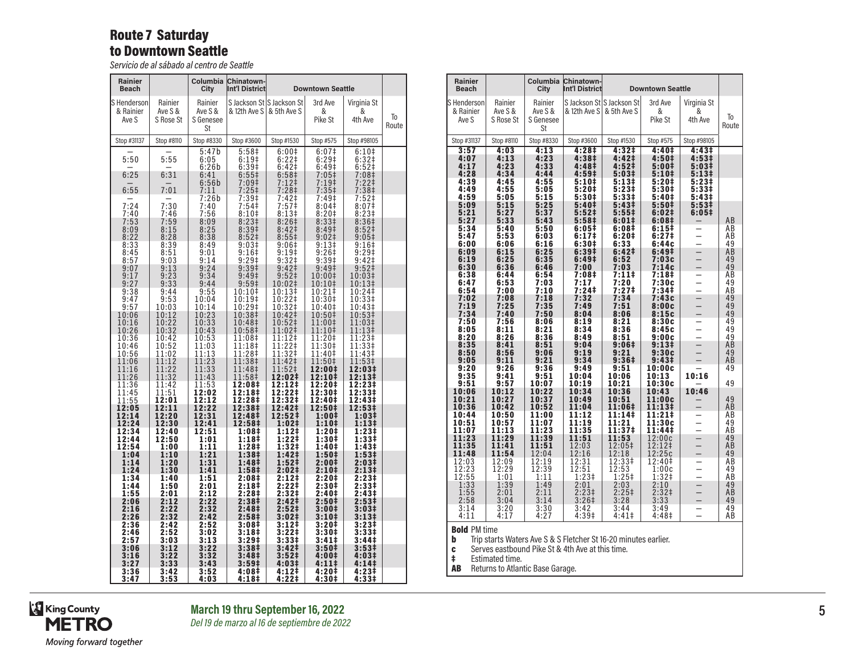### Route 7 Saturday to Downtown Seattle

*Servicio de al sábado al centro de Seattle*

| <b>Rainier</b><br><b>Beach</b>      |                                 | Columbia<br>City                      | <b>Chinatown-</b><br>Int'l District |                                           | <b>Downtown Seattle</b>                |                             |             |
|-------------------------------------|---------------------------------|---------------------------------------|-------------------------------------|-------------------------------------------|----------------------------------------|-----------------------------|-------------|
| lS Hendersonl<br>& Rainier<br>Ave S | Rainier<br>Ave S &<br>S Rose St | Rainier<br>Ave S &<br>S Genesee<br>St | & 12th Ave S                        | S Jackson St S Jackson St<br>& 5th Ave S  | 3rd Ave<br>&<br>Pike St                | Virginia St<br>&<br>4th Ave | Тo<br>Route |
| Stop #31137                         | Stop #8110                      | Stop #8330                            | Stop #3600                          | Stop #1530                                | Stop #575                              | Stop #98105                 |             |
| 5:50                                | 5:55                            | 5:47b<br>6:05<br>6:26b                | 5:58 <sup>‡</sup><br>6:19‡<br>6:39# | 6:00‡<br>$6:22 \ddagger$<br>$6:42\dagger$ | 6:07 <sup>‡</sup><br>6:29‡<br>6:49‡    | 6:10#<br>6:32‡<br>6:52‡     |             |
| 6:25<br>6:55                        | 6:31<br>7:01                    | 6:41<br>6:56b<br>7:11                 | $6:55\frac{1}{2}$<br>7:09‡<br>7:25‡ | 6:58‡<br>7:12‡                            | $7:05$ ‡<br>7:19‡<br>7:35 <sup>‡</sup> | 7:08‡<br>7:22‡<br>7:38‡     |             |
|                                     |                                 | 7:26b                                 | 7:39‡                               | 7:28‡<br>7:42‡                            | 7:49‡                                  | 7:52‡                       |             |
| 7:24                                | 7:30                            | 7:40                                  | 7:54‡                               | 7:57‡                                     | 8:04‡                                  | 8:07 <sup>‡</sup>           |             |
| 7:40                                | 7:46                            | 7:56                                  | 8:10‡                               | 8:13 <sup>‡</sup>                         | 8:20‡                                  | 8:23‡                       |             |
| 7:53                                | 7:59                            | 8:09                                  | 8:23 <sup>‡</sup>                   | 8:26 <sup>‡</sup>                         | 8:33‡                                  | 8:36‡                       |             |
| 8:09                                | 8:15                            | 8:25                                  | 8:39‡                               | 8:42 <sup>‡</sup>                         | 8:49‡                                  | 8:52 <sup>‡</sup>           |             |
| 8:22                                | 8:28                            | 8:38                                  | 8:52 <sup>‡</sup>                   | $8:55\frac{1}{2}$                         | $9:02$ ‡                               | 9:05‡                       |             |
| 8:33                                | 8:39                            | 8:49                                  | 9:03‡                               | 9:06‡                                     | 9:13‡                                  | 9:16‡                       |             |
| 8:45                                | 8:51                            | 9:01                                  | $9:16+$                             | $9:19+$                                   | 9:26#                                  | 9:29‡                       |             |
| 8:57                                | 9:03                            | 9:14                                  | $9:29$ ‡                            | 9:32 <sup>‡</sup>                         | $9:39+$                                | 9:42 <sup>‡</sup>           |             |
| 9:07                                | 9:13                            | 9:24                                  | 9:39 <sup>‡</sup>                   | $9:42 \ddagger$                           | 9:49‡                                  | 9:52 <sup>‡</sup>           |             |
| 9:17                                | 9:23                            | 9:34                                  | $9:49^{\ddagger}$                   | $9:52$ ‡                                  | 10:00‡                                 | 10:03‡                      |             |
| 9:27                                | 9:33                            | 9:44                                  | 9:59 <sup>‡</sup>                   | 10:02‡                                    | 10:10‡                                 | 10:13‡                      |             |
| 9:38                                | 9:44                            | 9:55                                  | 10:10‡                              | 10:13‡                                    | 10:21‡                                 | 10:24‡                      |             |
| 9:47                                | 9:53                            | 10:04                                 | 10:19‡                              | 10:22‡                                    | 10:30‡                                 | 10:33‡                      |             |
| 9:57                                | 10:03                           | 10:14                                 | 10:29‡                              | 10:32‡                                    | 10:40‡                                 | 10:43‡                      |             |
| 10:06                               | 10:12                           | 10:23                                 | 10:38‡                              | 10:42‡                                    | 10:50‡                                 | 10:53‡                      |             |
| 10:16                               | 10:22                           | 10:33                                 | 10:48‡                              | 10:52‡                                    | 11:00‡                                 | 11:03‡                      |             |
| 10:26                               | 10:32                           | 10:43                                 | 10:58‡                              | 11:02‡                                    | 11:10‡                                 | 11:13‡                      |             |
| 10:36                               | 10:42                           | 10:53                                 | 11:08‡                              | 11:12‡                                    | 11:20‡                                 | 11:23‡                      |             |
| 10:46                               | 10:52                           | 11:03                                 | 11:18‡                              | 11:22‡                                    | 11:30‡                                 | 11:33‡                      |             |
| 10:56                               | 11:02                           | 11:13                                 | 11:28‡                              | 11:32‡                                    | 11:40‡                                 | 11:43‡                      |             |
| 11:06                               | 11:12                           | 11:23                                 | 11:38‡                              | 11:42‡                                    | 11:50‡                                 | 11:53‡                      |             |
| 11:16                               | 11:22                           | 11:33                                 | 11:48‡                              | 11:52‡                                    | 12:00‡                                 | 12:03‡                      |             |
| 11:26                               | 11:32                           | 11:43                                 | 11:58‡                              | 12:02‡                                    | 12:10‡                                 | 12:13‡                      |             |
| 11:36                               | 11:42                           | 11:53                                 | 12:08‡                              | 12:12‡                                    | 12:20‡                                 | 12:23‡                      |             |
| 11:45                               | 11:51                           | 12:02                                 | 12:18‡                              | 12:22‡                                    | 12:30‡                                 | 12:33‡                      |             |
| 11:55                               | 12:01                           | 12:12                                 | 12:28‡                              | 12:32‡                                    | 12:40‡                                 | 12:43‡                      |             |
| 12:05                               | 12:11                           | 12:22                                 | 12:38‡                              | 12:42‡                                    | 12:50‡                                 | 12:53‡                      |             |
| 12:14                               | 12:20                           | 12:31                                 | 12:48‡                              | 12:52‡                                    | 1:00‡                                  | 1:03‡                       |             |
| 12:24                               | 12:30                           | 12:41                                 | 12:58‡                              | 1:02 <sup>‡</sup>                         | 1:101                                  | $1:13+$                     |             |
| 12:34<br>12:44                      | 12:40<br>12:50                  | 12:51<br>1:01<br>1:11                 | 1:08‡<br>1:18 <sup>‡</sup>          | $1:12+$<br>$1:22 \ddagger$<br>1:32‡       | 1:20‡<br>1:30‡                         | 1:23‡<br>1:33‡              |             |
| 12:54<br>1:04<br>1:14               | 1:00<br>1:10<br>1:20            | 1:21<br>1:31                          | 1:28‡<br>1:38‡<br>1:48‡             | 1:42 <sup>‡</sup><br>1:52‡                | 1:40‡<br>1:50‡<br>2:00‡                | 1:43‡<br>1:53‡<br>2:03‡     |             |
| 1:24                                | 1:30                            | 1:41                                  | 1:58‡                               | 2:02‡                                     | 2:10‡                                  | 2:13 <sup>‡</sup>           |             |
| 1:34                                | 1:40                            | 1:51                                  | 2:08‡                               | 2:12‡                                     | 2:20‡                                  | 2:23‡                       |             |
| 1:44                                | 1:50                            | 2:01                                  | 2:18‡                               | 2:22‡                                     | 2:30‡                                  | 2:33‡                       |             |
| 1:55                                | 2:01                            | 2:12                                  | 2:28‡                               | 2:32‡                                     | 2:40‡                                  | 2:43‡                       |             |
| 2:06                                | 2:12                            | 2:22                                  | 2:38 <sup>‡</sup>                   | 2:42‡                                     | 2:50‡                                  | 2:53‡                       |             |
| 2:16                                | 2:22                            | 2:32                                  | 2:48‡                               | 2:52 <sup>†</sup>                         | 3:00‡                                  | 3:03‡                       |             |
| 2:26                                | 2:32                            | 2:42                                  | 2:58‡                               | 3:02‡                                     | 3:10‡                                  | 3:13 <sup>‡</sup>           |             |
| 2:36                                | 2:42                            | 2:52                                  | 3:08‡                               | 3:12‡                                     | 3:20‡                                  | 3:23‡                       |             |
| 2:46                                | 2:52                            | 3:02                                  | 3:18‡                               | 3:22‡                                     | 3:30‡                                  | 3:33‡                       |             |
| 2:57                                | 3:03                            | 3:13                                  | $3:29+$                             | 3:33#                                     | $3:41\pm$                              | 3:44 <sup>‡</sup>           |             |
| 3:06                                | 3:12                            | 3:22                                  | 3:38#                               | 3:42‡                                     | 3:50 <sup>‡</sup>                      | $3:53\ddagger$              |             |
| 3:16                                | 3:22                            | 3:32                                  | 3:48‡                               | 3:52‡                                     | 4:00‡                                  | 4:03‡                       |             |
| 3:27                                | 3:33                            | 3:43                                  | 3:59 <sup>‡</sup>                   | 4:03‡                                     | 4:11‡                                  | 4:141                       |             |
| 3:36                                | 3:42                            | 3:52                                  | 4:08‡                               | 4:12‡                                     | 4:20‡                                  | 4:23‡                       |             |
| 3:47                                | 3:53                            | 4:03                                  | 4:18‡                               | 4:22‡                                     | 4:30‡                                  | 4:33‡                       |             |

| <b>Rainier</b><br><b>Beach</b>    |                                 | Columbia<br>City                      | Chinatown-<br>Int'l District        |                                           | <b>Downtown Seattle</b>             |                                                      |                             |
|-----------------------------------|---------------------------------|---------------------------------------|-------------------------------------|-------------------------------------------|-------------------------------------|------------------------------------------------------|-----------------------------|
| S Henderson<br>& Rainier<br>Ave S | Rainier<br>Ave S &<br>S Rose St | Rainier<br>Ave S &<br>S Genesee<br>St | & 12th Ave S                        | S Jackson St S Jackson St<br>& 5th Ave S  | 3rd Ave<br>&<br>Pike St             | Virginia St<br>&<br>4th Ave                          | To<br>Route                 |
| Stop #31137                       | Stop #8110                      | Stop #8330                            | Stop #3600                          | Stop #1530                                | Stop #575                           | Stop #98105                                          |                             |
| 3:57                              | 4:03                            | 4:13                                  | 4:28 <sup>‡</sup>                   | 4:32#                                     | 4:40‡                               | 4:43#                                                |                             |
| 4:07                              | 4:13                            | 4:23                                  | 4:38‡                               | 4:42‡                                     | 4:50‡                               | 4:53‡                                                |                             |
| 4:17                              | 4:23                            | 4:33                                  | 4:48‡                               | 4:52 <sup>‡</sup>                         | 5:00‡                               | 5:03‡                                                |                             |
| 4:28                              | 4:34                            | 4:44                                  | 4:59‡                               | 5:03‡                                     | 5:10‡                               | 5:13‡                                                |                             |
| 4:39                              | 4:45                            | 4:55                                  | 5:10 <sup>‡</sup>                   | 5:13‡                                     | 5:20‡                               | 5:23‡                                                |                             |
| 4:49                              | 4:55                            | 5:05                                  | 5:20‡                               | 5:23‡                                     | 5:30‡                               | 5:33‡                                                |                             |
| 4:59                              | 5:05                            | 5:15                                  | 5:30‡                               | $5:33*$                                   | 5:40‡                               | 5:43‡                                                |                             |
| 5:09<br>5:21<br>5:27<br>5:34      | 5:15<br>5:27<br>5:33<br>5:40    | 5:25<br>5:37<br>5:43<br>5:50          | 5:40‡<br>5:52‡<br>5:58‡<br>6:05#    | 5:43‡<br>$5:55\ddagger$<br>6:01‡<br>6:08‡ | 5:50‡<br>6:02‡<br>6:08‡<br>6:15‡    | 5:53‡<br>6:05‡                                       | AB<br>ΑB                    |
| 5:47<br>6:00<br>6:09              | 5:53<br>6:06<br>6:15            | 6:03<br>6:16<br>6:25                  | 6:17 <sup>‡</sup><br>6:30‡<br>6:39# | 6:20‡<br>6:33<br>6:42‡                    | 6:27‡<br>6:44c<br>6:49‡             | $\overline{\phantom{0}}$<br>$\overline{\phantom{0}}$ | AB<br>49<br>AB              |
| 6:19                              | 6:25                            | 6:35                                  | 6:49‡                               | 6:52                                      | 7:03c                               | $\overline{\phantom{0}}$                             | 49                          |
| 6:30                              | 6:36                            | 6:46                                  | 7:00                                | 7:03                                      | 7:14c                               |                                                      | 49                          |
| 6:38                              | 6:44                            | 6:54                                  | 7:08‡                               | 7:11#                                     | 7:18 <sup>‡</sup>                   |                                                      | АB                          |
| 6:47                              | 6:53                            | 7:03                                  | 7:17                                | 7:20                                      | 7:30c                               | -                                                    | 49                          |
| 6:54                              | 7:00                            | 7:10                                  | 7:24‡                               | 7:27‡                                     | 7:34‡                               | $\overline{\phantom{0}}$                             | АB                          |
| 7:02                              | 7:08                            | 7:18                                  | 7:32                                | 7:34                                      | 7:43c                               | $\overline{a}$                                       | 49                          |
| 7:19                              | 7:25                            | 7:35                                  | 7:49                                | 7:51                                      | 8:00c                               | $\overline{a}$                                       | 49                          |
| 7:34                              | 7:40                            | 7:50                                  | 8:04                                | 8:06                                      | 8:15c                               |                                                      | 49                          |
| 7:50                              | 7:56                            | 8:06                                  | 8:19                                | 8:21                                      | 8:30c                               |                                                      | 49                          |
| 8:05<br>8:20<br>8:35              | 8:11<br>8:26<br>8:41            | 8:21<br>8:36<br>8:51                  | 8:34<br>8:49<br>9:04                | 8:36<br>8:51<br>9:06‡                     | 8:45c<br>9:00c<br>9:13 <sup>‡</sup> | $\overline{a}$<br>$\overline{\phantom{0}}$           | $\overline{49}$<br>49<br>AB |
| 8:50                              | 8:56                            | 9:06                                  | 9:19                                | 9:21                                      | 9:30c                               | <sup>-</sup>                                         | 49                          |
| 9:05                              | 9:11                            | 9:21                                  | 9:34                                | 9:36 <sup>‡</sup>                         | 9:43‡                               |                                                      | AB                          |
| 9:20                              | 9:26                            | 9:36                                  | 9:49                                | 9:51                                      | 10:00c                              |                                                      | 49                          |
| 9:35<br>9:51<br>10:06             | 9:41<br>9:57<br>10:12           | 9:51<br>10:07<br>10:22                | 10:04<br>10:19<br>10:34             | 10:06<br>10:21<br>10:36                   | 10:13<br>10:30c<br>10:43            | 10:16<br>10:46                                       | 49                          |
| 10:21                             | 10:27                           | 10:37                                 | 10:49                               | 10:51                                     | 11:00c                              |                                                      | 49                          |
| 10:36                             | 10:42                           | 10:52                                 | 11:04                               | 11:06‡                                    | 11:13‡                              |                                                      | AB                          |
| 10:44                             | 10:50                           | 11:00                                 | 11:12                               | 11:14‡                                    | 11:21‡                              |                                                      | ΑB                          |
| 10:51                             | 10:57                           | 11:07                                 | 11:19                               | 11:21                                     | 11:30c                              | $\overline{\phantom{0}}$                             | 49                          |
| 11:07                             | 11:13                           | 11:23                                 | 11:35                               | 11:37‡                                    | 11:44‡                              | $\overline{\phantom{0}}$                             | AB                          |
| 11:23                             | 11:29                           | 11:39                                 | 11:51                               | 11:53                                     | 12:00c                              | $\overline{\phantom{0}}$                             | 49                          |
| 11:35                             | 11:41                           | 11:51                                 | 12:03                               | 12:05‡                                    | 12:12‡                              | $-$                                                  | AB                          |
| 11:48                             | 11:54                           | 12:04                                 | 12:16                               | 12:18                                     | 12:25c                              |                                                      | 49                          |
| 12:03                             | 12:09                           | 12:19                                 | 12:31                               | 12:33‡                                    | 12:40‡                              |                                                      | AB                          |
| 12:23<br>12:55<br>1:33            | 12:29<br>1:01<br>1:39           | 12:39<br>1:11<br>1:49                 | 12:51<br>$1:23+$<br>2:01            | 12:53<br>$1:25+$<br>2:03                  | 1:00c<br>1:32 <sup>†</sup><br>2:10  | —<br>$\overline{\phantom{0}}$                        | 49<br>AB<br>49              |
| 1:55                              | 2:01                            | 2:11                                  | $2:23+$                             | $2:25+$                                   | 2:32 <sup>†</sup>                   | $\overline{\phantom{0}}$                             | AB                          |
| 2:58                              | 3:04                            | 3:14                                  | $3:26+$                             | 3:28                                      | 3:33                                |                                                      | 49                          |
| 3:14                              | 3:20                            | 3:30                                  | 3:42                                | 3:44                                      | 3:49                                |                                                      | 49                          |
| 4:11<br><b>Bold PM time</b>       | 4:17                            | 4:27                                  | 4:39 <sup>‡</sup>                   | 4:41‡                                     | 4:48‡                               |                                                      | ÄB                          |

**b** Trip starts Waters Ave S & S Fletcher St 16-20 minutes earlier.<br>**c** Serves eastbound Pike St & 4th Ave at this time.<br>‡ Estimated time.

AB Returns to Atlantic Base Garage.

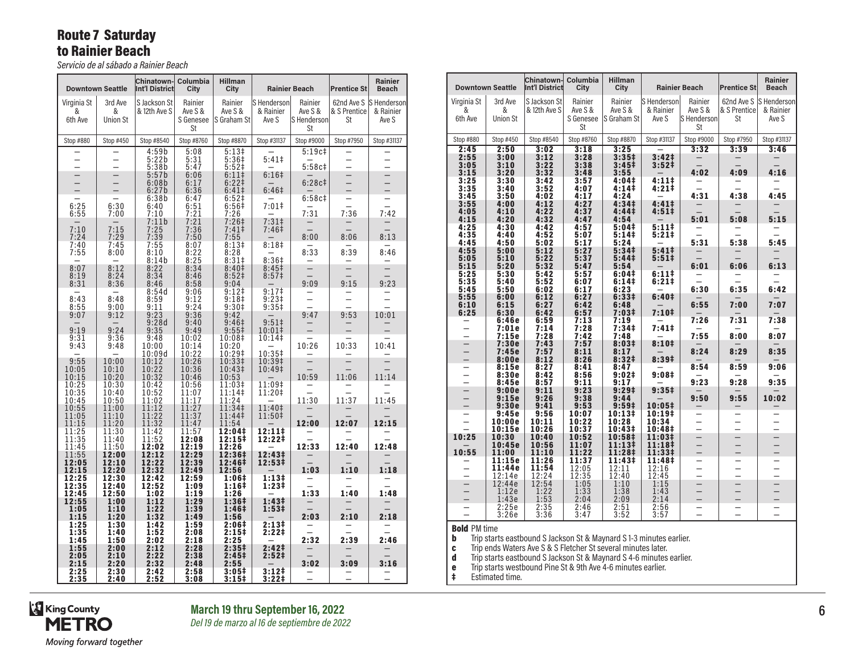# Route 7 Saturday to Rainier Beach

*Servicio de al sábado a Rainier Beach*

| <b>Downtown Seattle</b>     |                                 | Chinatown-<br><b>Int'l District</b> | Columbia<br>City                             | <b>Hillman</b><br>City                 |                                   | <b>Rainier Beach</b>                           | <b>Prentice St</b>       | Rainier<br><b>Beach</b>                      |
|-----------------------------|---------------------------------|-------------------------------------|----------------------------------------------|----------------------------------------|-----------------------------------|------------------------------------------------|--------------------------|----------------------------------------------|
| Virginia St<br>&<br>6th Ave | 3rd Ave<br>&<br><b>Union St</b> | S Jackson St<br>& 12th Ave S        | Rainier<br>Ave S &<br>S Genesee<br><b>St</b> | Rainier<br>Ave S &<br>S Graham St      | S Henderson<br>& Rainier<br>Ave S | Rainier<br>Ave S &<br>S Henderson<br><b>St</b> | & S Prentice<br>St       | 62nd Ave S S Henderson<br>& Rainier<br>Ave S |
| Stop #880                   | Stop #450                       | Stop #8540                          | Stop #8760                                   | Stop #8870                             | Stop #31137                       | Stop #9000                                     | Stop #7950               | Stop #31137                                  |
|                             |                                 | 4:59b                               | 5:08                                         | $5:13+$                                |                                   | 5:19c#                                         |                          |                                              |
|                             |                                 | 5:22b<br>5:38b                      | 5:31<br>5:47                                 | 5:36‡<br>5:52 <sup>‡</sup>             | 5:41 <sup>‡</sup>                 | 5:58c#                                         |                          | $\equiv$                                     |
|                             |                                 | 5:57b                               | 6:06                                         | 6:11                                   | $6:16+$                           |                                                |                          | $\frac{1}{1}$                                |
|                             |                                 | 6:08b<br>6:27b                      | 6:17<br>6:36                                 | $6:22 \ddagger$<br>$6:41\pm$           | 6:46 <sup>‡</sup>                 | 6:28c#                                         | $\overline{\phantom{0}}$ |                                              |
|                             |                                 | 6:38b                               | 6:47                                         | 6:52 <sup>‡</sup>                      |                                   | 6:58c#                                         |                          |                                              |
| 6:25<br>6:55                | 6:30<br>7:00                    | 6:40<br>7:10                        | 6:51<br>7:21                                 | 6:56#<br>7:26                          | $7:01$ ‡                          | 7:31                                           | 7:36                     | 7:42                                         |
|                             |                                 | 7:11b                               | 7:21                                         | 7:26‡                                  | 7:31 <sup>‡</sup>                 |                                                |                          |                                              |
| 7:10<br>7:24                | 7:15<br>7:29                    | 7:25<br>7:39                        | 7:36<br>7:50                                 | 7:41<br>7:55                           | 7:46‡                             | 8:00                                           | 8:06                     | 8:13                                         |
| 7:40                        | 7:45                            | 7:55                                | 8:07                                         | 8:13#                                  | 8:18 <sup>‡</sup>                 |                                                |                          |                                              |
| 7:55                        | 8:00                            | 8:10<br>8:14b                       | 8:22<br>8:25                                 | 8:28<br>$8:31\pm$                      | 8:36#                             | 8:33                                           | 8:39                     | 8:46                                         |
| 8:07                        | 8:12                            | 8:22                                | 8:34                                         | 8:40 <sup>‡</sup>                      | 8:45 <sup>‡</sup>                 |                                                |                          |                                              |
| 8:19<br>8:31                | 8:24<br>8:36                    | 8:34<br>8:46                        | 8:46<br>8:58                                 | 8:52 <sup>‡</sup><br>9:04              | 8:57 <sup>‡</sup>                 | 9:09                                           | 9:15                     | 9:23                                         |
|                             |                                 | 8:54d                               | 9:06                                         | 9:12‡                                  | 9:17‡                             |                                                |                          |                                              |
| 8:43                        | 8:48                            | 8:59                                | 9:12<br>9:24                                 | 9:18 <sup>‡</sup><br>9:30 <sup>‡</sup> | $9:23+$                           |                                                |                          |                                              |
| 8:55<br>9:07                | 9:00<br>9:12                    | 9:11<br>9:23                        | 9:36                                         | 9:42                                   | 9:35 <sup>‡</sup>                 | 9:47                                           | 9:53                     | 10:01                                        |
|                             | 9:24                            | 9:28d                               | 9:40                                         | 9:46 <sup>‡</sup>                      | $9:51 \;$                         |                                                |                          |                                              |
| 9:19<br>9:31                | 9:36                            | 9:35<br>9:48                        | 9:49<br>10:02                                | $9:55^{\ddagger}$<br>10:08‡            | 10:01‡<br>10:14‡                  |                                                |                          |                                              |
| 9:43                        | 9:48                            | 10:00                               | 10:14                                        | 10:20                                  |                                   | 10:26                                          | 10:33                    | 10:41                                        |
| 9:55                        | 10:00                           | 10:09d<br>10:12                     | 10:22<br>10:26                               | 10:29‡<br>10:33‡                       | 10:35‡<br>10:39‡                  | $\overline{\phantom{0}}$                       | $\overline{\phantom{0}}$ |                                              |
| 10:05                       | 10:10                           | 10:22                               | 10:36                                        | 10:43‡                                 | 10:49‡                            |                                                |                          |                                              |
| 10:15<br>10:25              | 10:20<br>10:30                  | 10:32<br>10:42                      | 10:46<br>10:56                               | 10:53<br>11:03‡                        | 11:09‡                            | 10:59                                          | 11:06                    | 11:14                                        |
| 10:35                       | 10:40                           | 10:52                               | 11:07                                        | 11:14‡                                 | 11:20‡                            |                                                |                          |                                              |
| 10:45<br>10:55              | 10:50<br>11:00                  | 11:02<br>11:12                      | 11:17<br>11:27                               | 11:24<br>11:34‡                        | 11:40‡                            | 11:30                                          | 11:37                    | 11:45                                        |
| 11:05                       | 11:10                           | 11:22                               | 11:37                                        | 11:44‡                                 | 11:50‡                            |                                                |                          |                                              |
| 11:15<br>11:25              | 11:20<br>11:30                  | 11:32<br>11:42                      | 11:47<br>11:57                               | 11:54<br>12:04‡                        | 12:11‡                            | 12:00                                          | 12:07                    | 12:15                                        |
| 11:35                       | 11:40                           | 11:52                               | 12:08                                        | 12:15‡                                 | 12:22‡                            |                                                |                          |                                              |
| 11:45<br>11:55              | 11:50<br>12:00                  | 12:02<br>12:12                      | 12:19<br>12:29                               | 12:26<br>12:36‡                        | 12:43‡                            | 12:33                                          | 12:40                    | 12:48                                        |
| 12:05                       | 12:10                           | 12:22                               | 12:39                                        | 12:46‡                                 | 12:53‡                            |                                                |                          |                                              |
| 12:15<br>12:25              | 12:20<br>12:30                  | 12:32<br>12:42                      | 12:49<br>12:59                               | 12:56<br>1:06‡                         | 1:13‡                             | 1:03                                           | 1:10                     | 1:18                                         |
| 12:35                       | 12:40                           | 12:52                               | 1:09                                         | 1:16‡                                  | 1:23‡                             |                                                |                          |                                              |
| 12:45<br>12:55              | 12:50<br>1:00                   | 1:02<br>1:12                        | 1:19<br>1:29                                 | 1:26<br>1:36‡                          | 1:43‡                             | 1:33                                           | 1:40                     | 1:48                                         |
| 1:05                        | 1:10                            | 1:22                                | 1:39                                         | 1:46‡                                  | 1:53 <sup>‡</sup>                 |                                                |                          |                                              |
| 1:15<br>1:25                | 1:20<br>1:30                    | 1:32<br>1:42                        | 1:49<br>1:59                                 | 1:56<br>2:06‡                          | 2:13‡                             | 2:03                                           | 2:10                     | 2:18                                         |
| 1:35                        | 1:40                            | 1:52                                | 2:08                                         | 2:15‡                                  | 2:22‡                             |                                                |                          |                                              |
| 1:45<br>1:55                | 1:50<br>2:00                    | 2:02<br>2:12                        | 2:18<br>2:28                                 | 2:25<br>2:35‡                          | 2:42‡                             | 2:32                                           | 2:39                     | 2:46                                         |
| 2:05                        | 2:10                            | 2:22                                | 2:38                                         | 2:45‡                                  | 2:52‡                             |                                                |                          |                                              |
| 2:15<br>2:25                | 2:20<br>2:30                    | 2:32<br>2:42                        | 2:48<br>2:58                                 | 2:55<br>3:05‡                          | 3:12 <sup>‡</sup>                 | 3:02                                           | 3:09                     | 3:16                                         |
| 2:35                        | 2:40                            | 2:52                                | 3:08                                         | 3:15‡                                  | 3:22‡                             | -                                              |                          |                                              |

|                          | <b>Downtown Seattle</b> | <b>Chinatown-</b><br><b>Int'l District</b>                          | Columbia<br>City   | <b>Hillman</b><br>City                 |                                        | <b>Rainier Beach</b> | <b>Prentice St</b>         | <b>Rainier</b><br><b>Beach</b> |
|--------------------------|-------------------------|---------------------------------------------------------------------|--------------------|----------------------------------------|----------------------------------------|----------------------|----------------------------|--------------------------------|
| Virginia St<br>&         | 3rd Ave<br>&            | S Jackson St<br>& 12th Ave S                                        | Rainier<br>Ave S & | Rainier<br>Ave S &                     | S Henderson<br>& Rainier               | Rainier<br>Ave S &   | 62nd Ave S<br>& S Prentice | S Henderson<br>& Rainier       |
| 6th Ave                  | <b>Union St</b>         |                                                                     | S Genesee<br>St    | S Graham St                            | Ave S                                  | S Henderson<br>St    | St                         | Ave S                          |
| Stop #880                | Stop #450               | Stop #8540                                                          | Stop #8760         | Stop #8870                             | Stop #31137                            | Stop #9000           | Stop #7950                 | Stop #31137                    |
| 2:45                     | 2:50                    | 3:02                                                                | 3:18               | 3:25                                   |                                        | 3:32                 | 3:39                       | 3:46                           |
| 2:55<br>3:05             | 3:00<br>3:10            | 3:12<br>3:22                                                        | 3:28<br>3:38       | 3:35 <sup>‡</sup><br>3:45 <sup>‡</sup> | 3:42 <sup>‡</sup><br>3:52 <sup>‡</sup> |                      |                            |                                |
| 3:15                     | 3:20                    | 3:32                                                                | 3:48               | 3:55                                   |                                        | 4:02                 | 4:09                       | 4:16                           |
| 3:25<br>3:35             | 3:30<br>3:40            | 3:42<br>3:52                                                        | 3:57<br>4:07       | 4:04‡<br>4:14‡                         | 4:11‡<br>4:21‡                         |                      |                            |                                |
| 3:45                     | 3:50                    | 4:02                                                                | 4:17               | 4:24                                   |                                        | 4:31                 | 4:38                       | 4:45                           |
| 3:55                     | 4:00                    | 4:12                                                                | 4:27               | 4:34‡                                  | 4:411                                  |                      |                            |                                |
| 4:05<br>4:15             | 4:10<br>4:20            | 4:22<br>4:32                                                        | 4:37<br>4:47       | 4:44 <sup>‡</sup><br>4:54              | 4:51‡                                  | 5:01                 | 5:08                       | 5:15                           |
| 4:25                     | 4:30                    | 4:42                                                                | 4:57               | 5:04‡                                  | 5:11‡                                  |                      |                            |                                |
| 4:35<br>4:45             | 4:40<br>4:50            | 4:52<br>5:02                                                        | 5:07<br>5:17       | 5:141<br>5:24                          | 5:21‡                                  | 5:31                 | 5:38                       | 5:45                           |
| 4:55                     | 5:00                    | 5:12                                                                | 5:27               | 5:34‡                                  | $5:41\ddagger$                         |                      |                            |                                |
| 5:05<br>5:15             | 5:10<br>5:20            | 5:22<br>5:32                                                        | 5:37<br>5:47       | 5:44‡<br>5:54                          | 5:51‡                                  | 6:01                 | 6:06                       | 6:13                           |
| 5:25                     | 5:30                    | 5:42                                                                | 5:57               | 6:04‡                                  | 6:11‡                                  |                      |                            |                                |
| 5:35                     | 5:40                    | 5:52                                                                | 6:07               | 6:141                                  | 6:21‡                                  |                      |                            |                                |
| 5:45<br>5:55             | 5:50<br>6:00            | 6:02<br>6:12                                                        | 6:17<br>6:27       | 6:23<br>6:33‡                          | 6:40‡                                  | 6:30                 | 6:35                       | 6:42                           |
| 6:10                     | 6:15                    | 6:27                                                                | 6:42               | 6:48                                   |                                        | 6:55                 | 7:00                       | 7:07                           |
| 6:25                     | 6:30<br>6:46e           | 6:42<br>6:59                                                        | 6:57<br>7:13       | 7:03‡<br>7:19                          | $7:10+$                                | 7:26                 | 7:31                       | 7:38                           |
|                          | 7:01e<br>7:15e          | 7:14<br>7:28                                                        | 7:28<br>7:42       | 7:34 <sup>‡</sup><br>7:48              | 7:41‡                                  | 7:55                 | 8:00                       | 8:07                           |
|                          | 7:30e                   | 7:43                                                                | 7:57               | 8:03‡                                  | 8:10‡                                  |                      |                            |                                |
|                          | 7:45e<br>8:00e          | 7:57<br>8:12                                                        | 8:11<br>8:26       | 8:17<br>8:32#                          | 8:39‡                                  | 8:24                 | 8:29                       | 8:35                           |
|                          | 8:15e                   | 8:27                                                                | 8:41               | 8:47                                   |                                        | 8:54                 | 8:59                       | 9:06                           |
|                          | 8:30e<br>8:45e          | 8:42<br>8:57                                                        | 8:56<br>9:11       | 9:02‡<br>9:17                          | 9:08‡                                  | 9:23                 | 9:28                       | 9:35                           |
|                          | 9:00e                   | 9:11                                                                | 9:23               | 9:29 <sup>‡</sup>                      | 9:35#                                  |                      |                            |                                |
|                          | 9:15e<br>9:30e          | 9:26<br>9:41                                                        | 9:38<br>9:53       | 9:44<br>9:59#                          | $10:05\ddagger$                        | 9:50                 | 9:55                       | 10:02                          |
|                          | 9:45e                   | 9:56                                                                | 10:07              | 10:13#                                 | 10:19 <sup>‡</sup>                     |                      |                            |                                |
|                          | 10:00e<br>10:15e        | 10:11<br>10:26                                                      | 10:22<br>10:37     | 10:28<br>10:43‡                        | 10:34<br>10:48‡                        |                      |                            |                                |
| 10:25                    | 10:30                   | 10:40                                                               | 10:52              | 10:58‡                                 | 11:03‡                                 |                      |                            |                                |
| 10:55                    | 10:45e<br>11:00         | 10:56<br>11:10                                                      | 11:07<br>11:22     | 11:13‡<br>11:28‡                       | 11:18‡<br>11:33‡                       | Ē                    |                            |                                |
|                          | 11:15e                  | 11:26                                                               | 11:37              | 11:43‡                                 | 11:48‡                                 |                      |                            |                                |
|                          | 11:44e                  | 11:54                                                               | 12:05              | 12:11                                  | 12:16                                  | -                    | -                          |                                |
|                          | 12:14e<br>12:44e        | 12:24<br>12:54                                                      | 12:35<br>1:05      | 12:40<br>1:10                          | 12:45<br>1:15                          |                      |                            |                                |
|                          | 1:12e                   | 1:22                                                                | 1:33               | 1:38                                   | 1:43                                   |                      |                            |                                |
|                          | 1:43e<br>2:25e          | 1:53<br>2:35                                                        | 2:04<br>2:46       | 2:09<br>2:51                           | 2:14<br>2:56                           |                      |                            |                                |
|                          | 3:26e                   | 3:36                                                                | 3:47               | 3:52                                   | 3:57                                   |                      |                            |                                |
| <b>Bold PM time</b><br>b |                         | Trip starts eastbound S Jackson St & Maynard S 1-3 minutes earlier. |                    |                                        |                                        |                      |                            |                                |

**c** Trip ends Waters Ave S & S Fletcher St several minutes later.

d Trip starts eastbound S Jackson St & Maynard S 4-6 minutes earlier.

**e** Trip starts westbound Pine St & 9th Ave 4-6 minutes earlier.

‡ Estimated time.

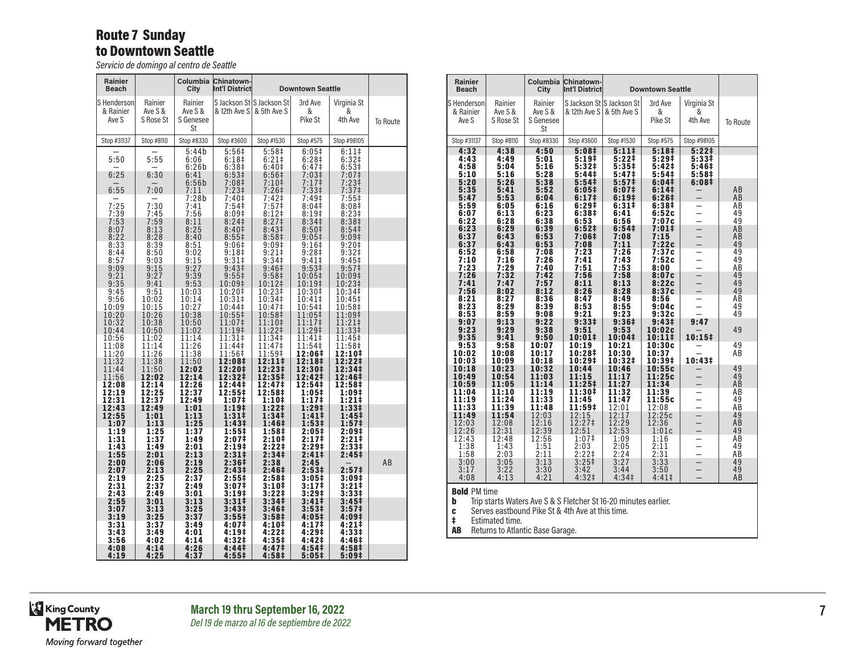#### Route 7 Sunday to Downtown Seattle

*Servicio de domingo al centro de Seattle*

| Rainier<br>Beach                  |                                 | Columbia<br>City                      | <b>Chinatown-</b><br>Int'l District               |                                                                      | <b>Downtown Seattle</b>                                  |                                                          |          |
|-----------------------------------|---------------------------------|---------------------------------------|---------------------------------------------------|----------------------------------------------------------------------|----------------------------------------------------------|----------------------------------------------------------|----------|
| S Henderson<br>& Rainier<br>Ave S | Rainier<br>Ave S &<br>S Rose St | Rainier<br>Ave S &<br>S Genesee<br>St | & 12th Ave S                                      | S Jackson St S Jackson St<br>& 5th Ave S                             | 3rd Ave<br>&<br>Pike St                                  | Virginia St<br>&<br>4th Ave                              | To Route |
| Stop #31137                       | Stop #8110                      | Stop #8330                            | Stop #3600                                        | Stop #1530                                                           | Stop #575                                                | Stop #98105                                              |          |
| 5:50                              | 5:55                            | 5:44b<br>6:06<br>6:26b                | $5:56+$<br>6:18 <sup>‡</sup><br>6:38 <sup>‡</sup> | 5:58 <sup>‡</sup><br>$6:21$ ‡<br>6:40 <sup>‡</sup>                   | 6:05#<br>6:28 <sup>‡</sup><br>6:47 <sup>‡</sup>          | $6:11$ ‡<br>6:32 <sup>‡</sup><br>6:53#                   |          |
| 6:25                              | 6:30                            | 6:41                                  | 6:53‡                                             | 6:56 <sup>‡</sup>                                                    | 7:03 <sup>‡</sup>                                        | 7:07‡                                                    |          |
| 6:55                              | 7:00                            | 6:56b<br>7:11                         | 7:08‡<br>$7:23\ddagger$                           | $7:10+$<br>$7:26+$                                                   | $7:17$ ‡<br>7:33 <sup>‡</sup>                            | $7:23+$<br>7:37 <sup>‡</sup>                             |          |
| 7:25<br>7:39<br>7:53              | 7:30<br>7:45<br>7:59            | 7:28b<br>7:41<br>7:56<br>8:11         | 7:40‡<br>7:54‡<br>8:09‡<br>8:24 <sup>‡</sup>      | 7:42 <sup>‡</sup><br>7:57 <sup>‡</sup><br>8:12‡<br>8:27 <sup>‡</sup> | 7:49‡<br>8:04 <sup>‡</sup><br>8:19‡<br>8:34 <sup>‡</sup> | 7:55‡<br>8:08 <sup>‡</sup><br>8:23#<br>8:38 <sup>‡</sup> |          |
| 8:07                              | 8:13                            | 8:25                                  | 8:40 <sup>‡</sup>                                 | 8:43 <sup>‡</sup>                                                    | 8:50 <sup>‡</sup>                                        | 8:54 <sup>‡</sup>                                        |          |
| 8:22                              | 8:28                            | 8:40                                  | $8:55\frac{1}{2}$                                 | 8:58 <sup>‡</sup>                                                    | $9:05\ddagger$                                           | 9:09 <sup>‡</sup>                                        |          |
| 8:33                              | 8:39                            | 8:51                                  | 9:06‡                                             | 9:09‡                                                                | 9:16‡                                                    | $9:20$ ‡                                                 |          |
| 8:44                              | 8:50                            | 9:02                                  | 9:18‡                                             | 9:21‡                                                                | 9:28‡                                                    | $9:32$ ‡                                                 |          |
| 8:57                              | 9:03                            | 9:15                                  | 9:31                                              | 9:34 <sup>‡</sup>                                                    | $9:41$ ‡                                                 | 9:45 <sup>‡</sup>                                        |          |
| 9:09<br>9:21<br>9:35              | 9:15<br>9:27<br>9:41            | 9:27<br>9:39<br>9:53                  | 9:43‡<br>9:55<br>10:09‡                           | 9:46‡<br>9:58 <sup>‡</sup><br>10:12‡                                 | 9:53‡<br>10:05‡<br>10:19‡                                | 9:57 <sup>‡</sup><br>10:09‡<br>10:23‡                    |          |
| 9:45                              | 9:51                            | 10:03                                 | 10:20‡                                            | 10:23‡                                                               | 10:30‡                                                   | 10:34‡                                                   |          |
| 9:56                              | 10:02                           | 10:14                                 | 10:31‡                                            | 10:34‡                                                               | 10:41‡                                                   | 10:45‡                                                   |          |
| 10:09                             | 10:15                           | 10:27                                 | 10:44‡                                            | 10:47‡                                                               | 10:54‡                                                   | 10:58‡                                                   |          |
| 10:20<br>10:32<br>10:44           | 10:26<br>10:38<br>10:50         | 10:38<br>10:50<br>11:02               | 10:55‡<br>11:07‡<br>11:19‡                        | 10:58‡<br>11:10‡<br>11:22‡                                           | 11:05‡<br>11:17‡<br>11:29‡                               | 11:09‡<br>11:21‡<br>11:33‡                               |          |
| 10:56                             | 11:02                           | 11:14                                 | 11:31‡                                            | 11:34‡                                                               | 11:41‡                                                   | 11:45‡                                                   |          |
| 11:08                             | 11:14                           | 11:26                                 | 11:44‡                                            | 11:47‡                                                               | 11:54‡                                                   | 11:58‡                                                   |          |
| 11:20                             | 11:26                           | 11:38                                 | 11:56‡                                            | 11:59‡                                                               | 12:06‡                                                   | 12:10‡                                                   |          |
| 11:32                             | 11:38                           | 11:50                                 | 12:08‡                                            | 12:11‡                                                               | 12:18‡                                                   | 12:22‡                                                   |          |
| 11:44                             | 11:50                           | 12:02                                 | 12:20‡                                            | 12:23‡                                                               | 12:30‡                                                   | 12:34‡                                                   |          |
| 11:56                             | 12:02                           | 12:14                                 | 12:32‡                                            | 12:35‡                                                               | 12:42‡                                                   | 12:46‡                                                   |          |
| 12:08                             | 12:14                           | 12:26                                 | 12:44‡                                            | 12:47‡                                                               | 12:54‡                                                   | 12:58‡                                                   |          |
| 12:19                             | 12:25                           | 12:37                                 | 12:55‡                                            | 12:58‡                                                               | $1:05\ddagger$                                           | 1:09‡                                                    |          |
| 12:31                             | 12:37                           | 12:49                                 | 1:07‡                                             | 1:10‡                                                                | 1:17‡                                                    | 1:21‡                                                    |          |
| 12:43                             | 12:49                           | 1:01                                  | 1:19 <sup>‡</sup>                                 | 1:22‡                                                                | 1:29‡                                                    | 1:33‡                                                    |          |
| 12:55                             | 1:01                            | 1:13                                  | $1:31\ddagger$                                    | 1:34‡                                                                | 1:41‡                                                    | 1:45 <sup>‡</sup>                                        |          |
| 1:07                              | 1:13                            | 1:25                                  | 1:43‡                                             | 1:46‡                                                                | 1:53‡                                                    | 1:57 <sup>‡</sup>                                        |          |
| 1:19                              | 1:25                            | 1:37                                  | 1:55‡                                             | 1:58‡                                                                | 2:05‡                                                    | 2:09‡                                                    |          |
| 1:31                              | 1:37                            | 1:49                                  | 2:07‡                                             | 2:10‡                                                                | 2:17‡                                                    | $2:21 \dagger$                                           |          |
| 1:43                              | 1:49                            | 2:01                                  | 2:19‡                                             | 2:22‡                                                                | 2:29‡                                                    | 2:33‡                                                    |          |
| 1:55<br>2:00<br>2:07              | 2:01<br>2:06<br>2:13            | 2:13<br>2:19<br>2:25                  | 2:31‡<br>2:36‡<br>2:43‡                           | 2:34‡<br>2:38<br>2:46‡                                               | 2:41‡<br>2:45<br>2:53‡                                   | 2:45‡<br>2:57‡                                           | AB       |
| 2:19                              | 2:25                            | 2:37                                  | 2:55‡                                             | 2:58‡                                                                | 3:05#                                                    | 3:09‡                                                    |          |
| 2:31                              | 2:37                            | 2:49                                  | 3:07‡                                             | 3:10‡                                                                | 3:17‡                                                    | 3:21‡                                                    |          |
| 2:43                              | 2:49                            | 3:01                                  | 3:19‡                                             | 3:22‡                                                                | 3:29‡                                                    | 3:33‡                                                    |          |
| 2:55                              | 3:01                            | 3:13                                  | $3:31\ddagger$                                    | 3:34 <sup>‡</sup>                                                    | 3:41 <sup>‡</sup>                                        | 3:45 <sup>‡</sup>                                        |          |
| 3:07                              | 3:13                            | 3:25                                  | 3:43‡                                             | 3:46‡                                                                | 3:53‡                                                    | 3:57‡                                                    |          |
| 3:19                              | 3:25                            | 3:37                                  | 3:55 <sup>‡</sup>                                 | 3:58 <sup>‡</sup>                                                    | 4:05‡                                                    | 4:09‡                                                    |          |
| 3:31                              | 3:37                            | 3:49                                  | 4:07‡                                             | 4:10‡                                                                | 4:17‡                                                    | 4:21‡                                                    |          |
| 3:43                              | 3:49                            | 4:01                                  | 4:19‡                                             | 4:22‡                                                                | 4:29‡                                                    | 4:33‡                                                    |          |
| 3:56                              | 4:02                            | 4:14                                  | 4:32#                                             | 4:35‡                                                                | 4:42 <sup>‡</sup>                                        | 4:46‡                                                    |          |
| 4:08                              | 4:14                            | 4:26                                  | 4:44‡                                             | 4:47‡                                                                | 4:54 <sup>‡</sup>                                        | 4:58‡                                                    |          |
| 4:19                              | 4:25                            | 4:37                                  | $4:55^{\ddagger}$                                 | 4:58‡                                                                | 5:05‡                                                    | 5:09‡                                                    |          |

| Rainier<br><b>Beach</b>            |                                 | Columbia<br>City                      | <b>Chinatown-</b><br>Int'l District                                                                                 |                                          | <b>Downtown Seattle</b>     |                             |                 |
|------------------------------------|---------------------------------|---------------------------------------|---------------------------------------------------------------------------------------------------------------------|------------------------------------------|-----------------------------|-----------------------------|-----------------|
| S Henderson<br>& Rainier<br>Ave S  | Rainier<br>Ave S &<br>S Rose St | Rainier<br>Ave S &<br>S Genesee<br>St | & 12th Ave S                                                                                                        | S Jackson St S Jackson St<br>& 5th Ave S | 3rd Ave<br>&<br>Pike St     | Virginia St<br>&<br>4th Ave | <b>To Route</b> |
| Stop #31137                        | Stop #8110                      | Stop #8330                            | Stop #3600                                                                                                          | Stop #1530                               | Stop #575                   | Stop #98105                 |                 |
| 4:32<br>4:43                       | 4:38<br>4:49                    | 4:50<br>5:01                          | 5:08#<br>5:19‡                                                                                                      | $5:11*$<br>5:22‡                         | 5:18 <sup>‡</sup><br>5:29‡  | 5:22 <sup>†</sup><br>5:33‡  |                 |
| 4:58                               | 5:04                            | 5:16                                  | 5:32‡                                                                                                               | 5:35‡                                    | 5:42‡                       | 5:46‡                       |                 |
| 5:10<br>5:20                       | 5:16<br>5:26                    | 5:28<br>5:38                          | 5:44‡<br>5:54 <sup>‡</sup>                                                                                          | 5:47‡<br>5:57‡                           | 5:54 <sup>‡</sup><br>6:04#  | 5:58‡<br>6:08 <sup>‡</sup>  |                 |
| 5:35<br>5:47                       | 5:41<br>5:53                    | 5:52<br>6:04                          | 6:05‡<br>6:17‡                                                                                                      | 6:07‡<br>6:19‡                           | 6:14‡<br>6:26‡              |                             | AВ<br>AB        |
| 5:59                               | 6:05                            | 6:16                                  | 6:29‡                                                                                                               | 6:31#                                    | 6:38‡                       |                             | AB              |
| 6:07<br>6:22                       | 6:13<br>6:28                    | 6:23<br>6:38                          | 6:38‡<br>6:53                                                                                                       | 6:41<br>6:56                             | 6:52c<br>7:07c              |                             | 49<br>49        |
| 6:23                               | 6:29                            | 6:39                                  | 6:52‡                                                                                                               | 6:54‡                                    | 7:01‡                       |                             | AB              |
| 6:37<br>6:37                       | 6:43<br>6:43                    | 6:53<br>6:53                          | 7:06‡<br>7:08                                                                                                       | 7:08<br>7:11                             | 7:15<br>7:22c               |                             | AB<br>49        |
| 6:52<br>7:10                       | 6:58<br>7:16                    | 7:08<br>7:26                          | 7:23<br>7:41                                                                                                        | 7:26<br>7:43                             | 7:37c<br>7:52c              |                             | 49<br>49        |
| 7:23                               | 7:29                            | 7:40                                  | 7:51                                                                                                                | 7:53                                     | 8:00                        |                             | AВ              |
| 7:26<br>7:41                       | 7:32<br>7:47                    | 7:42<br>7:57                          | 7:56<br>8:11                                                                                                        | 7:58<br>8:13                             | 8:07c<br>8:22c              |                             | 49<br>49        |
| 7:56                               | 8:02                            | 8:12                                  | 8:26                                                                                                                | 8:28                                     | 8:37c                       |                             | 49              |
| 8:21<br>8:23                       | 8:27<br>8:29                    | 8:36<br>8:39                          | 8:47<br>8:53                                                                                                        | 8:49<br>8:55                             | 8:56<br>9:04c               |                             | AB<br>49        |
| 8:53                               | 8:59                            | 9:08                                  | 9:21<br>9:33‡                                                                                                       | 9:23                                     | 9:32c                       |                             | 49              |
| 9:07<br>9:23                       | 9:13<br>9:29                    | 9:22<br>9:38                          | 9:51                                                                                                                | 9:36‡<br>9:53                            | 9:43 <sup>‡</sup><br>10:02c | 9:47                        | 49              |
| 9:35<br>9:53                       | 9:41<br>9:58                    | 9:50<br>10:07                         | $10:01\ddagger$<br>10:19                                                                                            | 10:04‡<br>10:21                          | $10:11\ddagger$<br>10:30c   | 10:15‡                      | 49              |
| 10:02                              | 10:08                           | 10:17                                 | 10:28‡                                                                                                              | 10:30                                    | 10:37                       |                             | ΑB              |
| 10:03<br>10:18                     | 10:09<br>10:23                  | 10:18<br>10:32                        | 10:29‡<br>10:44                                                                                                     | 10:32‡<br>10:46                          | 10:39‡<br>10:55c            | 10:43‡                      | 49              |
| 10:49<br>10:59                     | 10:54<br>11:05                  | 11:03<br>11:14                        | 11:15<br>11:25‡                                                                                                     | 11:17<br>11:27                           | 11:25c<br>11:34             |                             | 49<br>AB        |
| 11:04                              | 11:10                           | 11:19                                 | 11:30‡                                                                                                              | 11:32                                    | 11:39                       |                             | AB              |
| 11:19<br>11:33                     | 11:24<br>11:39                  | 11:33<br>11:48                        | 11:45<br>11:59‡                                                                                                     | 11:47<br>12:01                           | 11:55c<br>12:08             |                             | 49<br>AB        |
| 11:49<br>12:03                     | 11:54<br>12:08                  | 12:03<br>12:16                        | 12:15<br>12:27‡                                                                                                     | 12:17<br>12:29                           | 12:25c<br>12:36             |                             | 49<br>AB        |
| 12:26                              | 12:31                           | 12:39                                 | 12:51                                                                                                               | 12:53                                    | 1:01c                       |                             | 49              |
| 12:43<br>1:38                      | 12:48<br>1:43                   | 12:56<br>1:51                         | 1:07 <sup>‡</sup><br>2:03                                                                                           | 1:09<br>2:05                             | 1:16<br>2:11                |                             | AB<br>49        |
| 1:58                               | 2:03                            | 2:11                                  | 2:22‡                                                                                                               | 2:24                                     | 2:31                        | $\overline{\phantom{0}}$    | AВ              |
| 3:00<br>3:17                       | 3:05<br>3:22                    | 3:13<br>3:30                          | $3:25+$<br>3:42                                                                                                     | 3:27<br>3:44                             | 3:33<br>3:50                |                             | 49<br>49        |
| 4:08                               | 4:13                            | 4:21                                  | 4:32‡                                                                                                               | 4:34 <sup>‡</sup>                        | $4:41 \pm$                  |                             | ΑB              |
| <b>Bold PM time</b><br>b<br>C<br>ŧ | Estimated time.                 |                                       | Trip starts Waters Ave S & S Fletcher St 16-20 minutes earlier.<br>Serves eastbound Pike St & 4th Ave at this time. |                                          |                             |                             |                 |

AB Returns to Atlantic Base Garage.

King County<br>METRO Moving forward together